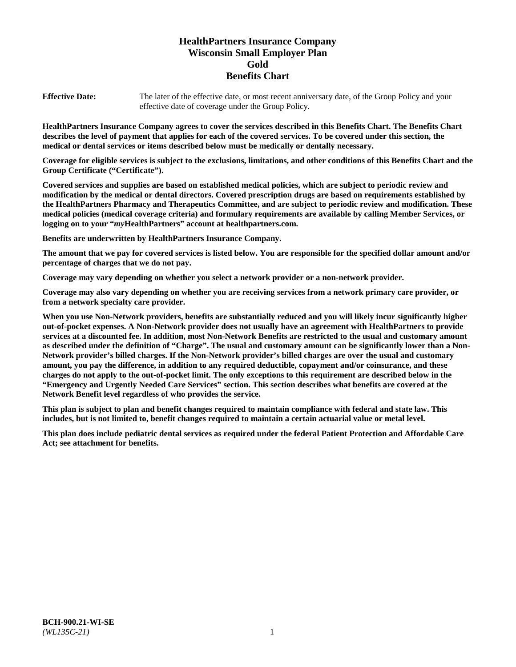# **HealthPartners Insurance Company Wisconsin Small Employer Plan Gold Benefits Chart**

**Effective Date:** The later of the effective date, or most recent anniversary date, of the Group Policy and your effective date of coverage under the Group Policy.

**HealthPartners Insurance Company agrees to cover the services described in this Benefits Chart. The Benefits Chart describes the level of payment that applies for each of the covered services. To be covered under this section, the medical or dental services or items described below must be medically or dentally necessary.**

**Coverage for eligible services is subject to the exclusions, limitations, and other conditions of this Benefits Chart and the Group Certificate ("Certificate").**

**Covered services and supplies are based on established medical policies, which are subject to periodic review and modification by the medical or dental directors. Covered prescription drugs are based on requirements established by the HealthPartners Pharmacy and Therapeutics Committee, and are subject to periodic review and modification. These medical policies (medical coverage criteria) and formulary requirements are available by calling Member Services, or logging on to your "***my***HealthPartners" account at [healthpartners.com.](https://www.healthpartners.com/hp/index.html)**

**Benefits are underwritten by HealthPartners Insurance Company.**

**The amount that we pay for covered services is listed below. You are responsible for the specified dollar amount and/or percentage of charges that we do not pay.**

**Coverage may vary depending on whether you select a network provider or a non-network provider.**

**Coverage may also vary depending on whether you are receiving services from a network primary care provider, or from a network specialty care provider.**

**When you use Non-Network providers, benefits are substantially reduced and you will likely incur significantly higher out-of-pocket expenses. A Non-Network provider does not usually have an agreement with HealthPartners to provide services at a discounted fee. In addition, most Non-Network Benefits are restricted to the usual and customary amount as described under the definition of "Charge". The usual and customary amount can be significantly lower than a Non-Network provider's billed charges. If the Non-Network provider's billed charges are over the usual and customary amount, you pay the difference, in addition to any required deductible, copayment and/or coinsurance, and these charges do not apply to the out-of-pocket limit. The only exceptions to this requirement are described below in the "Emergency and Urgently Needed Care Services" section. This section describes what benefits are covered at the Network Benefit level regardless of who provides the service.**

**This plan is subject to plan and benefit changes required to maintain compliance with federal and state law. This includes, but is not limited to, benefit changes required to maintain a certain actuarial value or metal level.**

**This plan does include pediatric dental services as required under the federal Patient Protection and Affordable Care Act; see attachment for benefits.**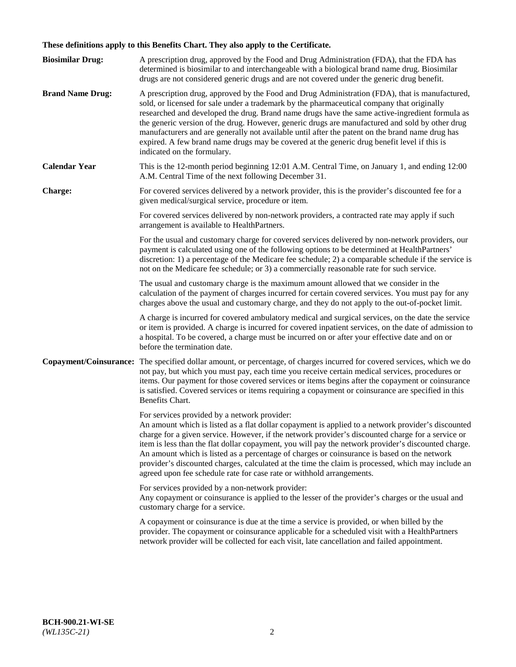# **These definitions apply to this Benefits Chart. They also apply to the Certificate.**

| <b>Biosimilar Drug:</b> | A prescription drug, approved by the Food and Drug Administration (FDA), that the FDA has<br>determined is biosimilar to and interchangeable with a biological brand name drug. Biosimilar<br>drugs are not considered generic drugs and are not covered under the generic drug benefit.                                                                                                                                                                                                                                                                                                                                                     |
|-------------------------|----------------------------------------------------------------------------------------------------------------------------------------------------------------------------------------------------------------------------------------------------------------------------------------------------------------------------------------------------------------------------------------------------------------------------------------------------------------------------------------------------------------------------------------------------------------------------------------------------------------------------------------------|
| <b>Brand Name Drug:</b> | A prescription drug, approved by the Food and Drug Administration (FDA), that is manufactured,<br>sold, or licensed for sale under a trademark by the pharmaceutical company that originally<br>researched and developed the drug. Brand name drugs have the same active-ingredient formula as<br>the generic version of the drug. However, generic drugs are manufactured and sold by other drug<br>manufacturers and are generally not available until after the patent on the brand name drug has<br>expired. A few brand name drugs may be covered at the generic drug benefit level if this is<br>indicated on the formulary.           |
| <b>Calendar Year</b>    | This is the 12-month period beginning 12:01 A.M. Central Time, on January 1, and ending 12:00<br>A.M. Central Time of the next following December 31.                                                                                                                                                                                                                                                                                                                                                                                                                                                                                        |
| <b>Charge:</b>          | For covered services delivered by a network provider, this is the provider's discounted fee for a<br>given medical/surgical service, procedure or item.                                                                                                                                                                                                                                                                                                                                                                                                                                                                                      |
|                         | For covered services delivered by non-network providers, a contracted rate may apply if such<br>arrangement is available to HealthPartners.                                                                                                                                                                                                                                                                                                                                                                                                                                                                                                  |
|                         | For the usual and customary charge for covered services delivered by non-network providers, our<br>payment is calculated using one of the following options to be determined at HealthPartners'<br>discretion: 1) a percentage of the Medicare fee schedule; 2) a comparable schedule if the service is<br>not on the Medicare fee schedule; or 3) a commercially reasonable rate for such service.                                                                                                                                                                                                                                          |
|                         | The usual and customary charge is the maximum amount allowed that we consider in the<br>calculation of the payment of charges incurred for certain covered services. You must pay for any<br>charges above the usual and customary charge, and they do not apply to the out-of-pocket limit.                                                                                                                                                                                                                                                                                                                                                 |
|                         | A charge is incurred for covered ambulatory medical and surgical services, on the date the service<br>or item is provided. A charge is incurred for covered inpatient services, on the date of admission to<br>a hospital. To be covered, a charge must be incurred on or after your effective date and on or<br>before the termination date.                                                                                                                                                                                                                                                                                                |
| Copayment/Coinsurance:  | The specified dollar amount, or percentage, of charges incurred for covered services, which we do<br>not pay, but which you must pay, each time you receive certain medical services, procedures or<br>items. Our payment for those covered services or items begins after the copayment or coinsurance<br>is satisfied. Covered services or items requiring a copayment or coinsurance are specified in this<br>Benefits Chart.                                                                                                                                                                                                             |
|                         | For services provided by a network provider:<br>An amount which is listed as a flat dollar copayment is applied to a network provider's discounted<br>charge for a given service. However, if the network provider's discounted charge for a service or<br>item is less than the flat dollar copayment, you will pay the network provider's discounted charge.<br>An amount which is listed as a percentage of charges or coinsurance is based on the network<br>provider's discounted charges, calculated at the time the claim is processed, which may include an<br>agreed upon fee schedule rate for case rate or withhold arrangements. |
|                         | For services provided by a non-network provider:<br>Any copayment or coinsurance is applied to the lesser of the provider's charges or the usual and<br>customary charge for a service.                                                                                                                                                                                                                                                                                                                                                                                                                                                      |
|                         | A copayment or coinsurance is due at the time a service is provided, or when billed by the<br>provider. The copayment or coinsurance applicable for a scheduled visit with a HealthPartners<br>network provider will be collected for each visit, late cancellation and failed appointment.                                                                                                                                                                                                                                                                                                                                                  |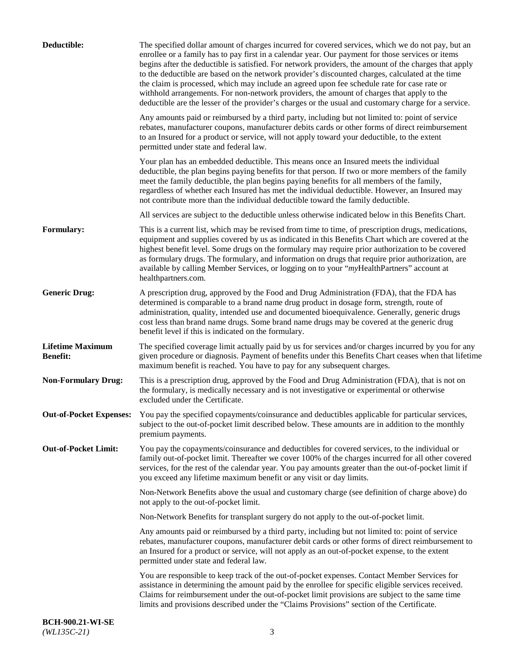| Deductible:                                | The specified dollar amount of charges incurred for covered services, which we do not pay, but an<br>enrollee or a family has to pay first in a calendar year. Our payment for those services or items<br>begins after the deductible is satisfied. For network providers, the amount of the charges that apply<br>to the deductible are based on the network provider's discounted charges, calculated at the time<br>the claim is processed, which may include an agreed upon fee schedule rate for case rate or<br>withhold arrangements. For non-network providers, the amount of charges that apply to the<br>deductible are the lesser of the provider's charges or the usual and customary charge for a service. |
|--------------------------------------------|-------------------------------------------------------------------------------------------------------------------------------------------------------------------------------------------------------------------------------------------------------------------------------------------------------------------------------------------------------------------------------------------------------------------------------------------------------------------------------------------------------------------------------------------------------------------------------------------------------------------------------------------------------------------------------------------------------------------------|
|                                            | Any amounts paid or reimbursed by a third party, including but not limited to: point of service<br>rebates, manufacturer coupons, manufacturer debits cards or other forms of direct reimbursement<br>to an Insured for a product or service, will not apply toward your deductible, to the extent<br>permitted under state and federal law.                                                                                                                                                                                                                                                                                                                                                                            |
|                                            | Your plan has an embedded deductible. This means once an Insured meets the individual<br>deductible, the plan begins paying benefits for that person. If two or more members of the family<br>meet the family deductible, the plan begins paying benefits for all members of the family,<br>regardless of whether each Insured has met the individual deductible. However, an Insured may<br>not contribute more than the individual deductible toward the family deductible.                                                                                                                                                                                                                                           |
|                                            | All services are subject to the deductible unless otherwise indicated below in this Benefits Chart.                                                                                                                                                                                                                                                                                                                                                                                                                                                                                                                                                                                                                     |
| <b>Formulary:</b>                          | This is a current list, which may be revised from time to time, of prescription drugs, medications,<br>equipment and supplies covered by us as indicated in this Benefits Chart which are covered at the<br>highest benefit level. Some drugs on the formulary may require prior authorization to be covered<br>as formulary drugs. The formulary, and information on drugs that require prior authorization, are<br>available by calling Member Services, or logging on to your "myHealthPartners" account at<br>healthpartners.com.                                                                                                                                                                                   |
| <b>Generic Drug:</b>                       | A prescription drug, approved by the Food and Drug Administration (FDA), that the FDA has<br>determined is comparable to a brand name drug product in dosage form, strength, route of<br>administration, quality, intended use and documented bioequivalence. Generally, generic drugs<br>cost less than brand name drugs. Some brand name drugs may be covered at the generic drug<br>benefit level if this is indicated on the formulary.                                                                                                                                                                                                                                                                             |
| <b>Lifetime Maximum</b><br><b>Benefit:</b> | The specified coverage limit actually paid by us for services and/or charges incurred by you for any<br>given procedure or diagnosis. Payment of benefits under this Benefits Chart ceases when that lifetime<br>maximum benefit is reached. You have to pay for any subsequent charges.                                                                                                                                                                                                                                                                                                                                                                                                                                |
| <b>Non-Formulary Drug:</b>                 | This is a prescription drug, approved by the Food and Drug Administration (FDA), that is not on<br>the formulary, is medically necessary and is not investigative or experimental or otherwise<br>excluded under the Certificate.                                                                                                                                                                                                                                                                                                                                                                                                                                                                                       |
|                                            | Out-of-Pocket Expenses: You pay the specified copayments/coinsurance and deductibles applicable for particular services,<br>subject to the out-of-pocket limit described below. These amounts are in addition to the monthly<br>premium payments.                                                                                                                                                                                                                                                                                                                                                                                                                                                                       |
| <b>Out-of-Pocket Limit:</b>                | You pay the copayments/coinsurance and deductibles for covered services, to the individual or<br>family out-of-pocket limit. Thereafter we cover 100% of the charges incurred for all other covered<br>services, for the rest of the calendar year. You pay amounts greater than the out-of-pocket limit if<br>you exceed any lifetime maximum benefit or any visit or day limits.                                                                                                                                                                                                                                                                                                                                      |
|                                            | Non-Network Benefits above the usual and customary charge (see definition of charge above) do<br>not apply to the out-of-pocket limit.                                                                                                                                                                                                                                                                                                                                                                                                                                                                                                                                                                                  |
|                                            | Non-Network Benefits for transplant surgery do not apply to the out-of-pocket limit.                                                                                                                                                                                                                                                                                                                                                                                                                                                                                                                                                                                                                                    |
|                                            | Any amounts paid or reimbursed by a third party, including but not limited to: point of service<br>rebates, manufacturer coupons, manufacturer debit cards or other forms of direct reimbursement to<br>an Insured for a product or service, will not apply as an out-of-pocket expense, to the extent<br>permitted under state and federal law.                                                                                                                                                                                                                                                                                                                                                                        |
|                                            | You are responsible to keep track of the out-of-pocket expenses. Contact Member Services for<br>assistance in determining the amount paid by the enrollee for specific eligible services received.<br>Claims for reimbursement under the out-of-pocket limit provisions are subject to the same time<br>limits and provisions described under the "Claims Provisions" section of the Certificate.                                                                                                                                                                                                                                                                                                                       |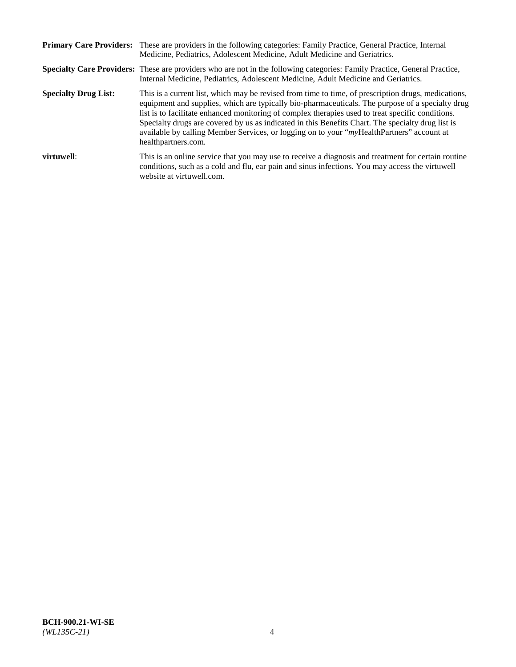|                             | Primary Care Providers: These are providers in the following categories: Family Practice, General Practice, Internal<br>Medicine, Pediatrics, Adolescent Medicine, Adult Medicine and Geriatrics.                                                                                                                                                                                                                                                                                                                                     |
|-----------------------------|---------------------------------------------------------------------------------------------------------------------------------------------------------------------------------------------------------------------------------------------------------------------------------------------------------------------------------------------------------------------------------------------------------------------------------------------------------------------------------------------------------------------------------------|
|                             | <b>Specialty Care Providers:</b> These are providers who are not in the following categories: Family Practice, General Practice,<br>Internal Medicine, Pediatrics, Adolescent Medicine, Adult Medicine and Geriatrics.                                                                                                                                                                                                                                                                                                                |
| <b>Specialty Drug List:</b> | This is a current list, which may be revised from time to time, of prescription drugs, medications,<br>equipment and supplies, which are typically bio-pharmaceuticals. The purpose of a specialty drug<br>list is to facilitate enhanced monitoring of complex therapies used to treat specific conditions.<br>Specialty drugs are covered by us as indicated in this Benefits Chart. The specialty drug list is<br>available by calling Member Services, or logging on to your "myHealthPartners" account at<br>healthpartners.com. |
| virtuwell:                  | This is an online service that you may use to receive a diagnosis and treatment for certain routine<br>conditions, such as a cold and flu, ear pain and sinus infections. You may access the virtuwell<br>website at virtuwell.com.                                                                                                                                                                                                                                                                                                   |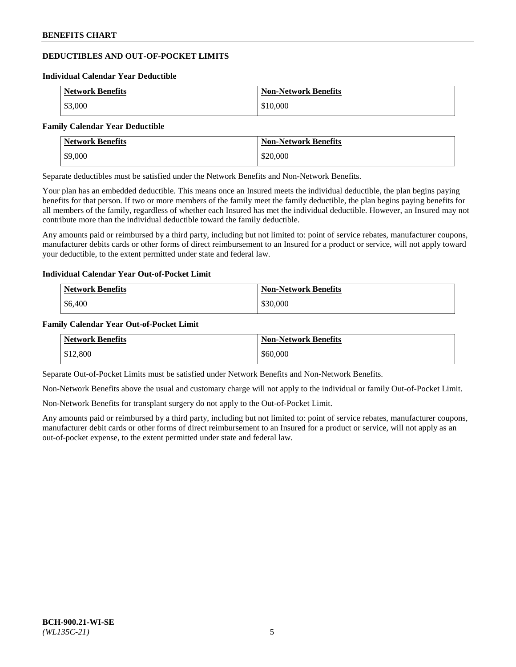## **DEDUCTIBLES AND OUT-OF-POCKET LIMITS**

#### **Individual Calendar Year Deductible**

| <b>Network Benefits</b> | <b>Non-Network Benefits</b> |
|-------------------------|-----------------------------|
| \$3,000                 | \$10,000                    |

#### **Family Calendar Year Deductible**

| <b>Network Benefits</b> | <b>Non-Network Benefits</b> |
|-------------------------|-----------------------------|
| \$9,000                 | \$20,000                    |

Separate deductibles must be satisfied under the Network Benefits and Non-Network Benefits.

Your plan has an embedded deductible. This means once an Insured meets the individual deductible, the plan begins paying benefits for that person. If two or more members of the family meet the family deductible, the plan begins paying benefits for all members of the family, regardless of whether each Insured has met the individual deductible. However, an Insured may not contribute more than the individual deductible toward the family deductible.

Any amounts paid or reimbursed by a third party, including but not limited to: point of service rebates, manufacturer coupons, manufacturer debits cards or other forms of direct reimbursement to an Insured for a product or service, will not apply toward your deductible, to the extent permitted under state and federal law.

## **Individual Calendar Year Out-of-Pocket Limit**

| <b>Network Benefits</b> | <b>Non-Network Benefits</b> |
|-------------------------|-----------------------------|
| \$6,400                 | \$30,000                    |

### **Family Calendar Year Out-of-Pocket Limit**

| <b>Network Benefits</b> | Non-Network Benefits |
|-------------------------|----------------------|
| \$12,800                | \$60,000             |

Separate Out-of-Pocket Limits must be satisfied under Network Benefits and Non-Network Benefits.

Non-Network Benefits above the usual and customary charge will not apply to the individual or family Out-of-Pocket Limit.

Non-Network Benefits for transplant surgery do not apply to the Out-of-Pocket Limit.

Any amounts paid or reimbursed by a third party, including but not limited to: point of service rebates, manufacturer coupons, manufacturer debit cards or other forms of direct reimbursement to an Insured for a product or service, will not apply as an out-of-pocket expense, to the extent permitted under state and federal law.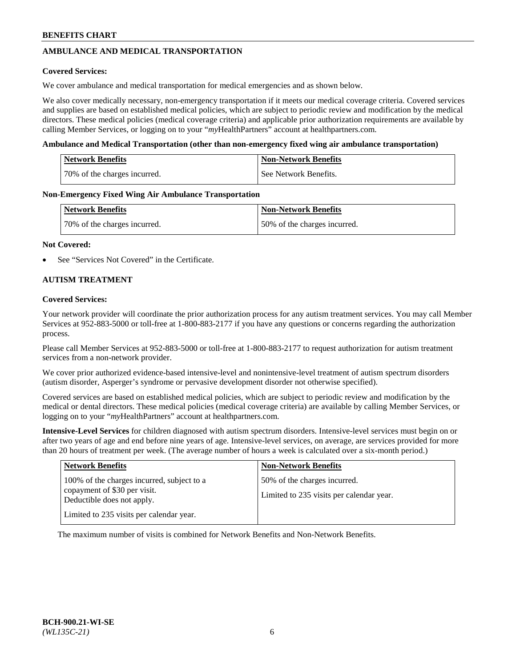# **AMBULANCE AND MEDICAL TRANSPORTATION**

### **Covered Services:**

We cover ambulance and medical transportation for medical emergencies and as shown below.

We also cover medically necessary, non-emergency transportation if it meets our medical coverage criteria. Covered services and supplies are based on established medical policies, which are subject to periodic review and modification by the medical directors. These medical policies (medical coverage criteria) and applicable prior authorization requirements are available by calling Member Services, or logging on to your "*my*HealthPartners" account a[t healthpartners.com.](https://www.healthpartners.com/hp/index.html)

### **Ambulance and Medical Transportation (other than non-emergency fixed wing air ambulance transportation)**

| <b>Network Benefits</b>      | <b>Non-Network Benefits</b> |
|------------------------------|-----------------------------|
| 70% of the charges incurred. | See Network Benefits.       |

### **Non-Emergency Fixed Wing Air Ambulance Transportation**

| <b>Network Benefits</b>      | <b>Non-Network Benefits</b>  |
|------------------------------|------------------------------|
| 70% of the charges incurred. | 50% of the charges incurred. |

### **Not Covered:**

See "Services Not Covered" in the Certificate.

## **AUTISM TREATMENT**

### **Covered Services:**

Your network provider will coordinate the prior authorization process for any autism treatment services. You may call Member Services at 952-883-5000 or toll-free at 1-800-883-2177 if you have any questions or concerns regarding the authorization process.

Please call Member Services at 952-883-5000 or toll-free at 1-800-883-2177 to request authorization for autism treatment services from a non-network provider.

We cover prior authorized evidence-based intensive-level and nonintensive-level treatment of autism spectrum disorders (autism disorder, Asperger's syndrome or pervasive development disorder not otherwise specified).

Covered services are based on established medical policies, which are subject to periodic review and modification by the medical or dental directors. These medical policies (medical coverage criteria) are available by calling Member Services, or logging on to your "*my*HealthPartners" account at [healthpartners.com.](https://www.healthpartners.com/hp/index.html)

**Intensive-Level Services** for children diagnosed with autism spectrum disorders. Intensive-level services must begin on or after two years of age and end before nine years of age. Intensive-level services, on average, are services provided for more than 20 hours of treatment per week. (The average number of hours a week is calculated over a six-month period.)

| <b>Network Benefits</b>                                                                                                                              | <b>Non-Network Benefits</b>                                              |
|------------------------------------------------------------------------------------------------------------------------------------------------------|--------------------------------------------------------------------------|
| 100% of the charges incurred, subject to a<br>copayment of \$30 per visit.<br>Deductible does not apply.<br>Limited to 235 visits per calendar year. | 50% of the charges incurred.<br>Limited to 235 visits per calendar year. |

The maximum number of visits is combined for Network Benefits and Non-Network Benefits.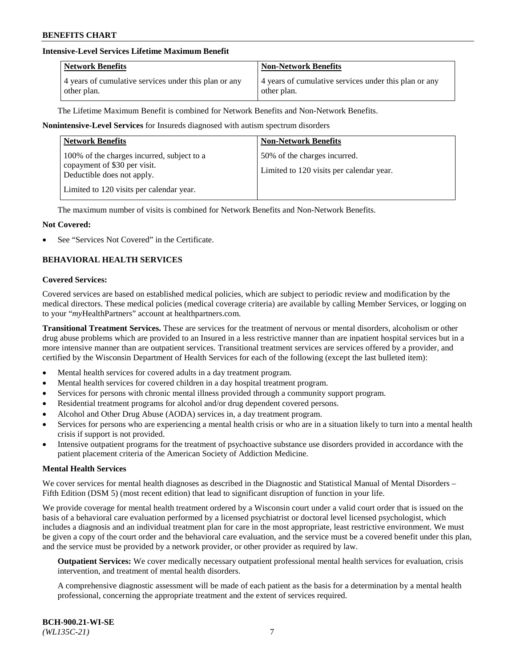## **Intensive-Level Services Lifetime Maximum Benefit**

| <b>Network Benefits</b>                               | <b>Non-Network Benefits</b>                           |
|-------------------------------------------------------|-------------------------------------------------------|
| 4 years of cumulative services under this plan or any | 4 years of cumulative services under this plan or any |
| other plan.                                           | other plan.                                           |

The Lifetime Maximum Benefit is combined for Network Benefits and Non-Network Benefits.

### **Nonintensive-Level Services** for Insureds diagnosed with autism spectrum disorders

| <b>Network Benefits</b>                                                                                                                              | <b>Non-Network Benefits</b>                                              |
|------------------------------------------------------------------------------------------------------------------------------------------------------|--------------------------------------------------------------------------|
| 100% of the charges incurred, subject to a<br>copayment of \$30 per visit.<br>Deductible does not apply.<br>Limited to 120 visits per calendar year. | 50% of the charges incurred.<br>Limited to 120 visits per calendar year. |

The maximum number of visits is combined for Network Benefits and Non-Network Benefits.

### **Not Covered:**

See "Services Not Covered" in the Certificate.

## **BEHAVIORAL HEALTH SERVICES**

#### **Covered Services:**

Covered services are based on established medical policies, which are subject to periodic review and modification by the medical directors. These medical policies (medical coverage criteria) are available by calling Member Services, or logging on to your "*my*HealthPartners" account at [healthpartners.com.](https://www.healthpartners.com/hp/index.html)

**Transitional Treatment Services.** These are services for the treatment of nervous or mental disorders, alcoholism or other drug abuse problems which are provided to an Insured in a less restrictive manner than are inpatient hospital services but in a more intensive manner than are outpatient services. Transitional treatment services are services offered by a provider, and certified by the Wisconsin Department of Health Services for each of the following (except the last bulleted item):

- Mental health services for covered adults in a day treatment program.
- Mental health services for covered children in a day hospital treatment program.
- Services for persons with chronic mental illness provided through a community support program.
- Residential treatment programs for alcohol and/or drug dependent covered persons.
- Alcohol and Other Drug Abuse (AODA) services in, a day treatment program.
- Services for persons who are experiencing a mental health crisis or who are in a situation likely to turn into a mental health crisis if support is not provided.
- Intensive outpatient programs for the treatment of psychoactive substance use disorders provided in accordance with the patient placement criteria of the American Society of Addiction Medicine.

#### **Mental Health Services**

We cover services for mental health diagnoses as described in the Diagnostic and Statistical Manual of Mental Disorders – Fifth Edition (DSM 5) (most recent edition) that lead to significant disruption of function in your life.

We provide coverage for mental health treatment ordered by a Wisconsin court under a valid court order that is issued on the basis of a behavioral care evaluation performed by a licensed psychiatrist or doctoral level licensed psychologist, which includes a diagnosis and an individual treatment plan for care in the most appropriate, least restrictive environment. We must be given a copy of the court order and the behavioral care evaluation, and the service must be a covered benefit under this plan, and the service must be provided by a network provider, or other provider as required by law.

**Outpatient Services:** We cover medically necessary outpatient professional mental health services for evaluation, crisis intervention, and treatment of mental health disorders.

A comprehensive diagnostic assessment will be made of each patient as the basis for a determination by a mental health professional, concerning the appropriate treatment and the extent of services required.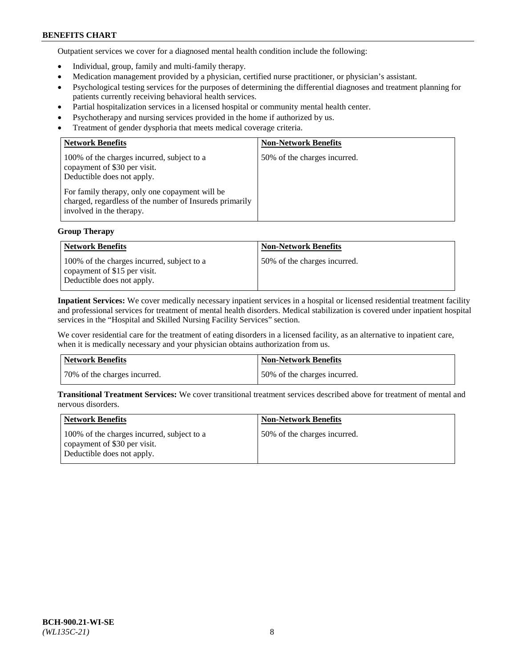Outpatient services we cover for a diagnosed mental health condition include the following:

- Individual, group, family and multi-family therapy.
- Medication management provided by a physician, certified nurse practitioner, or physician's assistant.
- Psychological testing services for the purposes of determining the differential diagnoses and treatment planning for patients currently receiving behavioral health services.
- Partial hospitalization services in a licensed hospital or community mental health center.
- Psychotherapy and nursing services provided in the home if authorized by us.
- Treatment of gender dysphoria that meets medical coverage criteria.

| <b>Network Benefits</b>                                                                                                                                                                                                                           | <b>Non-Network Benefits</b>  |
|---------------------------------------------------------------------------------------------------------------------------------------------------------------------------------------------------------------------------------------------------|------------------------------|
| 100% of the charges incurred, subject to a<br>copayment of \$30 per visit.<br>Deductible does not apply.<br>For family therapy, only one copayment will be<br>charged, regardless of the number of Insureds primarily<br>involved in the therapy. | 50% of the charges incurred. |

## **Group Therapy**

| <b>Network Benefits</b>                                                                                  | <b>Non-Network Benefits</b>  |
|----------------------------------------------------------------------------------------------------------|------------------------------|
| 100% of the charges incurred, subject to a<br>copayment of \$15 per visit.<br>Deductible does not apply. | 50% of the charges incurred. |

**Inpatient Services:** We cover medically necessary inpatient services in a hospital or licensed residential treatment facility and professional services for treatment of mental health disorders. Medical stabilization is covered under inpatient hospital services in the "Hospital and Skilled Nursing Facility Services" section.

We cover residential care for the treatment of eating disorders in a licensed facility, as an alternative to inpatient care, when it is medically necessary and your physician obtains authorization from us.

| Network Benefits             | Non-Network Benefits         |
|------------------------------|------------------------------|
| 70% of the charges incurred. | 50% of the charges incurred. |

**Transitional Treatment Services:** We cover transitional treatment services described above for treatment of mental and nervous disorders.

| <b>Network Benefits</b>                                                                                  | <b>Non-Network Benefits</b>  |
|----------------------------------------------------------------------------------------------------------|------------------------------|
| 100% of the charges incurred, subject to a<br>copayment of \$30 per visit.<br>Deductible does not apply. | 50% of the charges incurred. |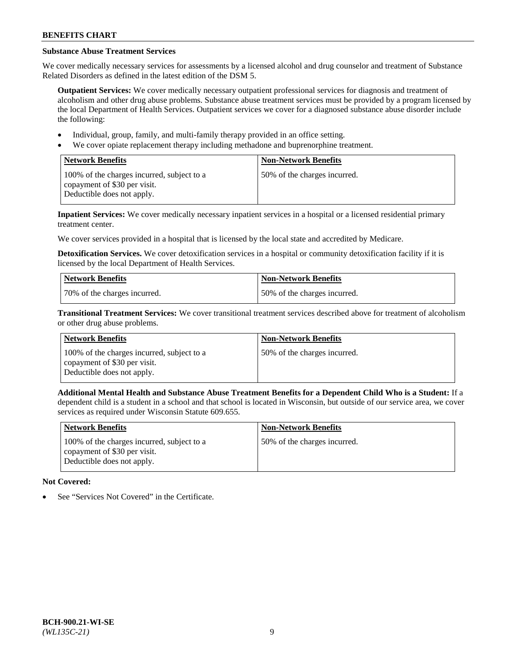# **Substance Abuse Treatment Services**

We cover medically necessary services for assessments by a licensed alcohol and drug counselor and treatment of Substance Related Disorders as defined in the latest edition of the DSM 5.

**Outpatient Services:** We cover medically necessary outpatient professional services for diagnosis and treatment of alcoholism and other drug abuse problems. Substance abuse treatment services must be provided by a program licensed by the local Department of Health Services. Outpatient services we cover for a diagnosed substance abuse disorder include the following:

- Individual, group, family, and multi-family therapy provided in an office setting.
- We cover opiate replacement therapy including methadone and buprenorphine treatment.

| <b>Network Benefits</b>                                                                                  | <b>Non-Network Benefits</b>  |
|----------------------------------------------------------------------------------------------------------|------------------------------|
| 100% of the charges incurred, subject to a<br>copayment of \$30 per visit.<br>Deductible does not apply. | 50% of the charges incurred. |

**Inpatient Services:** We cover medically necessary inpatient services in a hospital or a licensed residential primary treatment center.

We cover services provided in a hospital that is licensed by the local state and accredited by Medicare.

**Detoxification Services.** We cover detoxification services in a hospital or community detoxification facility if it is licensed by the local Department of Health Services.

| Network Benefits             | <b>Non-Network Benefits</b>  |
|------------------------------|------------------------------|
| 70% of the charges incurred. | 50% of the charges incurred. |

**Transitional Treatment Services:** We cover transitional treatment services described above for treatment of alcoholism or other drug abuse problems.

| <b>Network Benefits</b>                                                                                  | <b>Non-Network Benefits</b>  |
|----------------------------------------------------------------------------------------------------------|------------------------------|
| 100% of the charges incurred, subject to a<br>copayment of \$30 per visit.<br>Deductible does not apply. | 50% of the charges incurred. |

**Additional Mental Health and Substance Abuse Treatment Benefits for a Dependent Child Who is a Student:** If a dependent child is a student in a school and that school is located in Wisconsin, but outside of our service area, we cover services as required under Wisconsin Statute 609.655.

| <b>Network Benefits</b>                                                                                  | <b>Non-Network Benefits</b>  |
|----------------------------------------------------------------------------------------------------------|------------------------------|
| 100% of the charges incurred, subject to a<br>copayment of \$30 per visit.<br>Deductible does not apply. | 50% of the charges incurred. |

# **Not Covered:**

See "Services Not Covered" in the Certificate.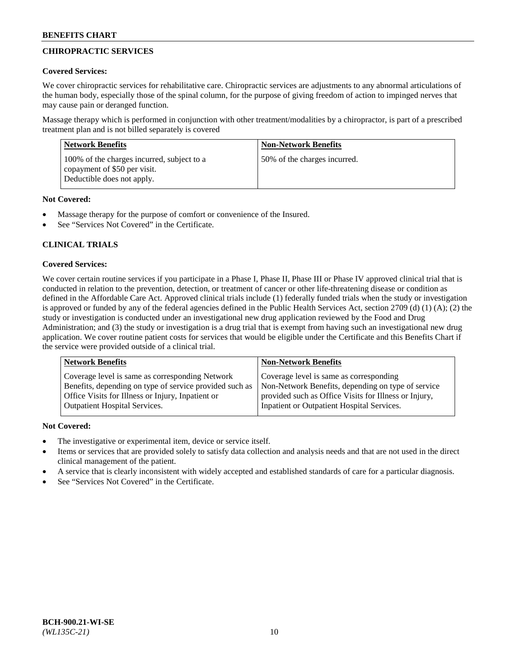# **CHIROPRACTIC SERVICES**

## **Covered Services:**

We cover chiropractic services for rehabilitative care. Chiropractic services are adjustments to any abnormal articulations of the human body, especially those of the spinal column, for the purpose of giving freedom of action to impinged nerves that may cause pain or deranged function.

Massage therapy which is performed in conjunction with other treatment/modalities by a chiropractor, is part of a prescribed treatment plan and is not billed separately is covered

| <b>Network Benefits</b>                                                                                  | <b>Non-Network Benefits</b>  |
|----------------------------------------------------------------------------------------------------------|------------------------------|
| 100% of the charges incurred, subject to a<br>copayment of \$50 per visit.<br>Deductible does not apply. | 50% of the charges incurred. |

## **Not Covered:**

- Massage therapy for the purpose of comfort or convenience of the Insured.
- See "Services Not Covered" in the Certificate.

# **CLINICAL TRIALS**

## **Covered Services:**

We cover certain routine services if you participate in a Phase I, Phase II, Phase III or Phase IV approved clinical trial that is conducted in relation to the prevention, detection, or treatment of cancer or other life-threatening disease or condition as defined in the Affordable Care Act. Approved clinical trials include (1) federally funded trials when the study or investigation is approved or funded by any of the federal agencies defined in the Public Health Services Act, section 2709 (d) (1) (A); (2) the study or investigation is conducted under an investigational new drug application reviewed by the Food and Drug Administration; and (3) the study or investigation is a drug trial that is exempt from having such an investigational new drug application. We cover routine patient costs for services that would be eligible under the Certificate and this Benefits Chart if the service were provided outside of a clinical trial.

| <b>Network Benefits</b>                                 | <b>Non-Network Benefits</b>                           |
|---------------------------------------------------------|-------------------------------------------------------|
| Coverage level is same as corresponding Network         | Coverage level is same as corresponding               |
| Benefits, depending on type of service provided such as | Non-Network Benefits, depending on type of service    |
| Office Visits for Illness or Injury, Inpatient or       | provided such as Office Visits for Illness or Injury, |
| Outpatient Hospital Services.                           | Inpatient or Outpatient Hospital Services.            |

## **Not Covered:**

- The investigative or experimental item, device or service itself.
- Items or services that are provided solely to satisfy data collection and analysis needs and that are not used in the direct clinical management of the patient.
- A service that is clearly inconsistent with widely accepted and established standards of care for a particular diagnosis.
- See "Services Not Covered" in the Certificate.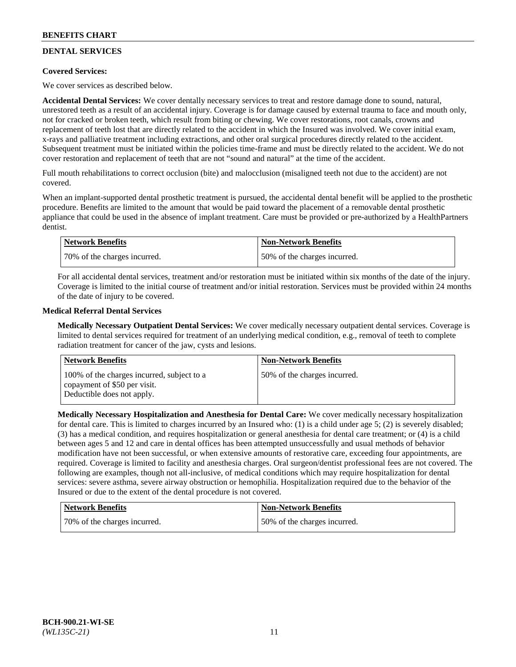# **DENTAL SERVICES**

## **Covered Services:**

We cover services as described below.

**Accidental Dental Services:** We cover dentally necessary services to treat and restore damage done to sound, natural, unrestored teeth as a result of an accidental injury. Coverage is for damage caused by external trauma to face and mouth only, not for cracked or broken teeth, which result from biting or chewing. We cover restorations, root canals, crowns and replacement of teeth lost that are directly related to the accident in which the Insured was involved. We cover initial exam, x-rays and palliative treatment including extractions, and other oral surgical procedures directly related to the accident. Subsequent treatment must be initiated within the policies time-frame and must be directly related to the accident. We do not cover restoration and replacement of teeth that are not "sound and natural" at the time of the accident.

Full mouth rehabilitations to correct occlusion (bite) and malocclusion (misaligned teeth not due to the accident) are not covered.

When an implant-supported dental prosthetic treatment is pursued, the accidental dental benefit will be applied to the prosthetic procedure. Benefits are limited to the amount that would be paid toward the placement of a removable dental prosthetic appliance that could be used in the absence of implant treatment. Care must be provided or pre-authorized by a HealthPartners dentist.

| <b>Network Benefits</b>      | <b>Non-Network Benefits</b>  |
|------------------------------|------------------------------|
| 70% of the charges incurred. | 50% of the charges incurred. |

For all accidental dental services, treatment and/or restoration must be initiated within six months of the date of the injury. Coverage is limited to the initial course of treatment and/or initial restoration. Services must be provided within 24 months of the date of injury to be covered.

## **Medical Referral Dental Services**

**Medically Necessary Outpatient Dental Services:** We cover medically necessary outpatient dental services. Coverage is limited to dental services required for treatment of an underlying medical condition, e.g., removal of teeth to complete radiation treatment for cancer of the jaw, cysts and lesions.

| Network Benefits                                                                                         | <b>Non-Network Benefits</b>  |
|----------------------------------------------------------------------------------------------------------|------------------------------|
| 100% of the charges incurred, subject to a<br>copayment of \$50 per visit.<br>Deductible does not apply. | 50% of the charges incurred. |

**Medically Necessary Hospitalization and Anesthesia for Dental Care:** We cover medically necessary hospitalization for dental care. This is limited to charges incurred by an Insured who: (1) is a child under age 5; (2) is severely disabled; (3) has a medical condition, and requires hospitalization or general anesthesia for dental care treatment; or (4) is a child between ages 5 and 12 and care in dental offices has been attempted unsuccessfully and usual methods of behavior modification have not been successful, or when extensive amounts of restorative care, exceeding four appointments, are required. Coverage is limited to facility and anesthesia charges. Oral surgeon/dentist professional fees are not covered. The following are examples, though not all-inclusive, of medical conditions which may require hospitalization for dental services: severe asthma, severe airway obstruction or hemophilia. Hospitalization required due to the behavior of the Insured or due to the extent of the dental procedure is not covered.

| Network Benefits             | <b>Non-Network Benefits</b>  |
|------------------------------|------------------------------|
| 70% of the charges incurred. | 50% of the charges incurred. |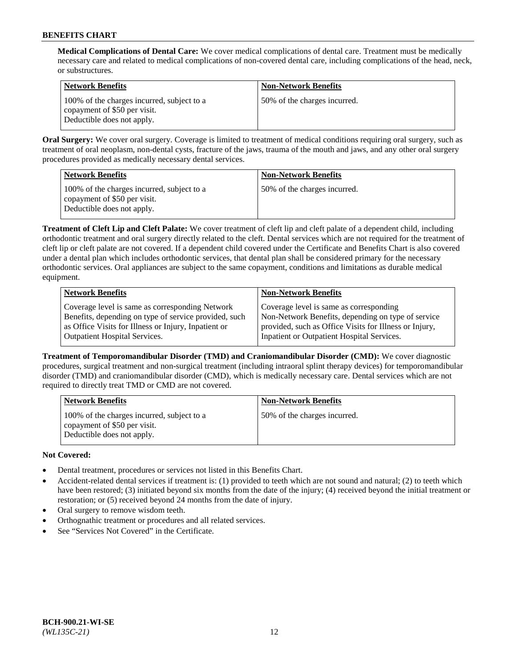**Medical Complications of Dental Care:** We cover medical complications of dental care. Treatment must be medically necessary care and related to medical complications of non-covered dental care, including complications of the head, neck, or substructures.

| <b>Network Benefits</b>                                                                                  | <b>Non-Network Benefits</b>  |
|----------------------------------------------------------------------------------------------------------|------------------------------|
| 100% of the charges incurred, subject to a<br>copayment of \$50 per visit.<br>Deductible does not apply. | 50% of the charges incurred. |

**Oral Surgery:** We cover oral surgery. Coverage is limited to treatment of medical conditions requiring oral surgery, such as treatment of oral neoplasm, non-dental cysts, fracture of the jaws, trauma of the mouth and jaws, and any other oral surgery procedures provided as medically necessary dental services.

| <b>Network Benefits</b>                                                                                  | <b>Non-Network Benefits</b>  |
|----------------------------------------------------------------------------------------------------------|------------------------------|
| 100% of the charges incurred, subject to a<br>copayment of \$50 per visit.<br>Deductible does not apply. | 50% of the charges incurred. |

**Treatment of Cleft Lip and Cleft Palate:** We cover treatment of cleft lip and cleft palate of a dependent child, including orthodontic treatment and oral surgery directly related to the cleft. Dental services which are not required for the treatment of cleft lip or cleft palate are not covered. If a dependent child covered under the Certificate and Benefits Chart is also covered under a dental plan which includes orthodontic services, that dental plan shall be considered primary for the necessary orthodontic services. Oral appliances are subject to the same copayment, conditions and limitations as durable medical equipment.

| Coverage level is same as corresponding<br>Non-Network Benefits, depending on type of service<br>provided, such as Office Visits for Illness or Injury,<br>Inpatient or Outpatient Hospital Services. |
|-------------------------------------------------------------------------------------------------------------------------------------------------------------------------------------------------------|
|                                                                                                                                                                                                       |

**Treatment of Temporomandibular Disorder (TMD) and Craniomandibular Disorder (CMD):** We cover diagnostic procedures, surgical treatment and non-surgical treatment (including intraoral splint therapy devices) for temporomandibular disorder (TMD) and craniomandibular disorder (CMD), which is medically necessary care. Dental services which are not required to directly treat TMD or CMD are not covered.

| <b>Network Benefits</b>                                                                                  | <b>Non-Network Benefits</b>  |
|----------------------------------------------------------------------------------------------------------|------------------------------|
| 100% of the charges incurred, subject to a<br>copayment of \$50 per visit.<br>Deductible does not apply. | 50% of the charges incurred. |

## **Not Covered:**

- Dental treatment, procedures or services not listed in this Benefits Chart.
- Accident-related dental services if treatment is: (1) provided to teeth which are not sound and natural; (2) to teeth which have been restored; (3) initiated beyond six months from the date of the injury; (4) received beyond the initial treatment or restoration; or (5) received beyond 24 months from the date of injury.
- Oral surgery to remove wisdom teeth.
- Orthognathic treatment or procedures and all related services.
- See "Services Not Covered" in the Certificate.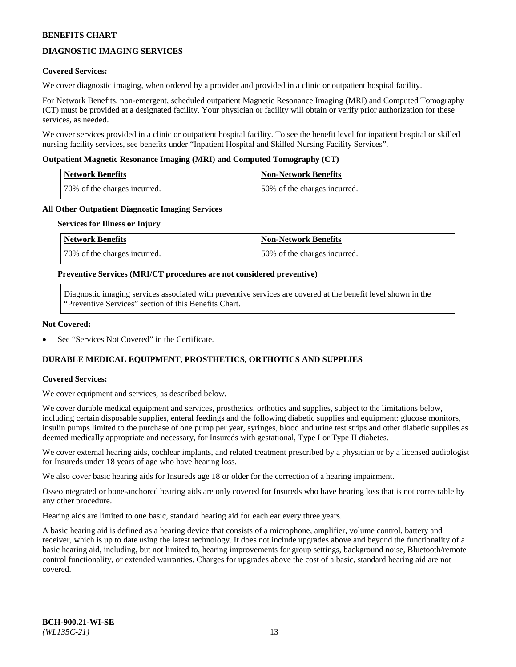## **DIAGNOSTIC IMAGING SERVICES**

### **Covered Services:**

We cover diagnostic imaging, when ordered by a provider and provided in a clinic or outpatient hospital facility.

For Network Benefits, non-emergent, scheduled outpatient Magnetic Resonance Imaging (MRI) and Computed Tomography (CT) must be provided at a designated facility. Your physician or facility will obtain or verify prior authorization for these services, as needed.

We cover services provided in a clinic or outpatient hospital facility. To see the benefit level for inpatient hospital or skilled nursing facility services, see benefits under "Inpatient Hospital and Skilled Nursing Facility Services".

### **Outpatient Magnetic Resonance Imaging (MRI) and Computed Tomography (CT)**

| <b>Network Benefits</b>      | <b>Non-Network Benefits</b>  |
|------------------------------|------------------------------|
| 70% of the charges incurred. | 50% of the charges incurred. |

### **All Other Outpatient Diagnostic Imaging Services**

#### **Services for Illness or Injury**

| Network Benefits             | <b>Non-Network Benefits</b>  |
|------------------------------|------------------------------|
| 70% of the charges incurred. | 50% of the charges incurred. |

### **Preventive Services (MRI/CT procedures are not considered preventive)**

Diagnostic imaging services associated with preventive services are covered at the benefit level shown in the "Preventive Services" section of this Benefits Chart.

### **Not Covered:**

See "Services Not Covered" in the Certificate.

## **DURABLE MEDICAL EQUIPMENT, PROSTHETICS, ORTHOTICS AND SUPPLIES**

#### **Covered Services:**

We cover equipment and services, as described below.

We cover durable medical equipment and services, prosthetics, orthotics and supplies, subject to the limitations below, including certain disposable supplies, enteral feedings and the following diabetic supplies and equipment: glucose monitors, insulin pumps limited to the purchase of one pump per year, syringes, blood and urine test strips and other diabetic supplies as deemed medically appropriate and necessary, for Insureds with gestational, Type I or Type II diabetes.

We cover external hearing aids, cochlear implants, and related treatment prescribed by a physician or by a licensed audiologist for Insureds under 18 years of age who have hearing loss.

We also cover basic hearing aids for Insureds age 18 or older for the correction of a hearing impairment.

Osseointegrated or bone-anchored hearing aids are only covered for Insureds who have hearing loss that is not correctable by any other procedure.

Hearing aids are limited to one basic, standard hearing aid for each ear every three years.

A basic hearing aid is defined as a hearing device that consists of a microphone, amplifier, volume control, battery and receiver, which is up to date using the latest technology. It does not include upgrades above and beyond the functionality of a basic hearing aid, including, but not limited to, hearing improvements for group settings, background noise, Bluetooth/remote control functionality, or extended warranties. Charges for upgrades above the cost of a basic, standard hearing aid are not covered.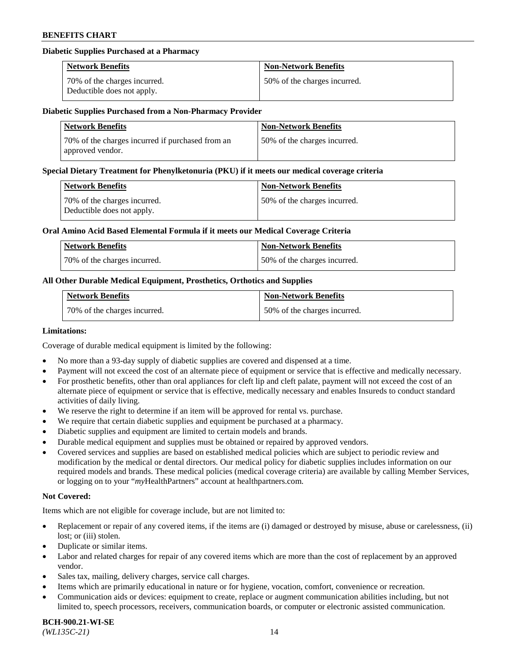### **Diabetic Supplies Purchased at a Pharmacy**

| <b>Network Benefits</b>                                    | <b>Non-Network Benefits</b>  |
|------------------------------------------------------------|------------------------------|
| 70% of the charges incurred.<br>Deductible does not apply. | 50% of the charges incurred. |

#### **Diabetic Supplies Purchased from a Non-Pharmacy Provider**

| <b>Network Benefits</b>                                              | <b>Non-Network Benefits</b>  |
|----------------------------------------------------------------------|------------------------------|
| 70% of the charges incurred if purchased from an<br>approved vendor. | 50% of the charges incurred. |

#### **Special Dietary Treatment for Phenylketonuria (PKU) if it meets our medical coverage criteria**

| Network Benefits                                           | <b>Non-Network Benefits</b>  |
|------------------------------------------------------------|------------------------------|
| 70% of the charges incurred.<br>Deductible does not apply. | 50% of the charges incurred. |

### **Oral Amino Acid Based Elemental Formula if it meets our Medical Coverage Criteria**

| Network Benefits             | <b>Non-Network Benefits</b>  |
|------------------------------|------------------------------|
| 70% of the charges incurred. | 50% of the charges incurred. |

## **All Other Durable Medical Equipment, Prosthetics, Orthotics and Supplies**

| <b>Network Benefits</b>      | <b>Non-Network Benefits</b>  |
|------------------------------|------------------------------|
| 70% of the charges incurred. | 50% of the charges incurred. |

#### **Limitations:**

Coverage of durable medical equipment is limited by the following:

- No more than a 93-day supply of diabetic supplies are covered and dispensed at a time.
- Payment will not exceed the cost of an alternate piece of equipment or service that is effective and medically necessary.
- For prosthetic benefits, other than oral appliances for cleft lip and cleft palate, payment will not exceed the cost of an alternate piece of equipment or service that is effective, medically necessary and enables Insureds to conduct standard
- activities of daily living. We reserve the right to determine if an item will be approved for rental vs. purchase.
- We require that certain diabetic supplies and equipment be purchased at a pharmacy.
- Diabetic supplies and equipment are limited to certain models and brands.
- Durable medical equipment and supplies must be obtained or repaired by approved vendors.
- Covered services and supplies are based on established medical policies which are subject to periodic review and modification by the medical or dental directors. Our medical policy for diabetic supplies includes information on our required models and brands. These medical policies (medical coverage criteria) are available by calling Member Services, or logging on to your "*my*HealthPartners" account a[t healthpartners.com.](https://www.healthpartners.com/hp/index.html)

## **Not Covered:**

Items which are not eligible for coverage include, but are not limited to:

- Replacement or repair of any covered items, if the items are (i) damaged or destroyed by misuse, abuse or carelessness, (ii) lost; or (iii) stolen.
- Duplicate or similar items.
- Labor and related charges for repair of any covered items which are more than the cost of replacement by an approved vendor.
- Sales tax, mailing, delivery charges, service call charges.
- Items which are primarily educational in nature or for hygiene, vocation, comfort, convenience or recreation.
- Communication aids or devices: equipment to create, replace or augment communication abilities including, but not limited to, speech processors, receivers, communication boards, or computer or electronic assisted communication.

#### **BCH-900.21-WI-SE**  *(WL135C-21)* 14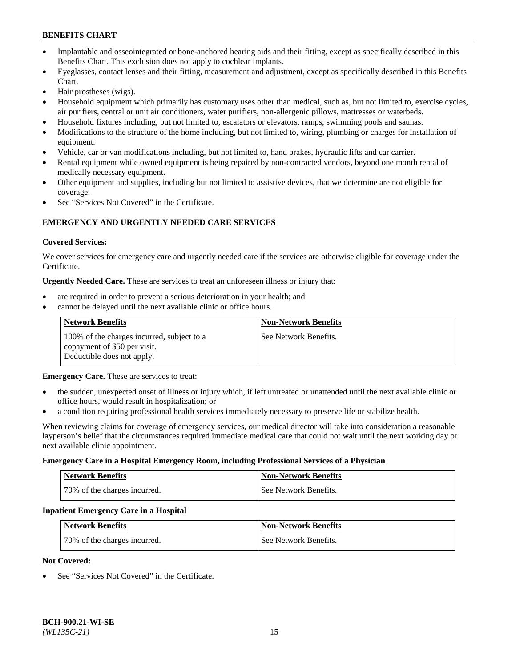- Implantable and osseointegrated or bone-anchored hearing aids and their fitting, except as specifically described in this Benefits Chart. This exclusion does not apply to cochlear implants.
- Eyeglasses, contact lenses and their fitting, measurement and adjustment, except as specifically described in this Benefits Chart.
- Hair prostheses (wigs).
- Household equipment which primarily has customary uses other than medical, such as, but not limited to, exercise cycles, air purifiers, central or unit air conditioners, water purifiers, non-allergenic pillows, mattresses or waterbeds.
- Household fixtures including, but not limited to, escalators or elevators, ramps, swimming pools and saunas.
- Modifications to the structure of the home including, but not limited to, wiring, plumbing or charges for installation of equipment.
- Vehicle, car or van modifications including, but not limited to, hand brakes, hydraulic lifts and car carrier.
- Rental equipment while owned equipment is being repaired by non-contracted vendors, beyond one month rental of medically necessary equipment.
- Other equipment and supplies, including but not limited to assistive devices, that we determine are not eligible for coverage.
- See "Services Not Covered" in the Certificate.

## **EMERGENCY AND URGENTLY NEEDED CARE SERVICES**

### **Covered Services:**

We cover services for emergency care and urgently needed care if the services are otherwise eligible for coverage under the Certificate.

**Urgently Needed Care.** These are services to treat an unforeseen illness or injury that:

- are required in order to prevent a serious deterioration in your health; and
- cannot be delayed until the next available clinic or office hours.

| <b>Network Benefits</b>                                                                                  | <b>Non-Network Benefits</b> |
|----------------------------------------------------------------------------------------------------------|-----------------------------|
| 100% of the charges incurred, subject to a<br>copayment of \$50 per visit.<br>Deductible does not apply. | See Network Benefits.       |

**Emergency Care.** These are services to treat:

- the sudden, unexpected onset of illness or injury which, if left untreated or unattended until the next available clinic or office hours, would result in hospitalization; or
- a condition requiring professional health services immediately necessary to preserve life or stabilize health.

When reviewing claims for coverage of emergency services, our medical director will take into consideration a reasonable layperson's belief that the circumstances required immediate medical care that could not wait until the next working day or next available clinic appointment.

#### **Emergency Care in a Hospital Emergency Room, including Professional Services of a Physician**

| <b>Network Benefits</b>      | <b>Non-Network Benefits</b> |
|------------------------------|-----------------------------|
| 70% of the charges incurred. | See Network Benefits.       |

#### **Inpatient Emergency Care in a Hospital**

| <b>Network Benefits</b>      | <b>Non-Network Benefits</b> |
|------------------------------|-----------------------------|
| 70% of the charges incurred. | See Network Benefits.       |

### **Not Covered:**

See "Services Not Covered" in the Certificate.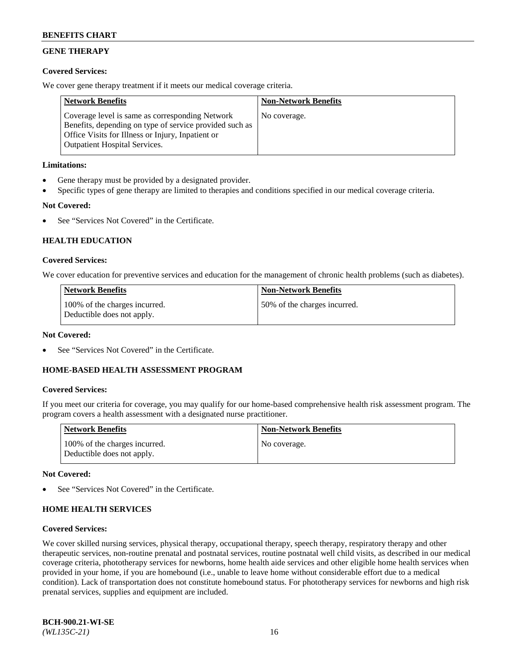## **GENE THERAPY**

## **Covered Services:**

We cover gene therapy treatment if it meets our medical coverage criteria.

| <b>Network Benefits</b>                                                                                                                                                                                 | <b>Non-Network Benefits</b> |
|---------------------------------------------------------------------------------------------------------------------------------------------------------------------------------------------------------|-----------------------------|
| Coverage level is same as corresponding Network<br>Benefits, depending on type of service provided such as<br>Office Visits for Illness or Injury, Inpatient or<br><b>Outpatient Hospital Services.</b> | No coverage.                |

## **Limitations:**

- Gene therapy must be provided by a designated provider.
- Specific types of gene therapy are limited to therapies and conditions specified in our medical coverage criteria.

## **Not Covered:**

See "Services Not Covered" in the Certificate.

## **HEALTH EDUCATION**

### **Covered Services:**

We cover education for preventive services and education for the management of chronic health problems (such as diabetes).

| <b>Network Benefits</b>                                     | <b>Non-Network Benefits</b>  |
|-------------------------------------------------------------|------------------------------|
| 100% of the charges incurred.<br>Deductible does not apply. | 50% of the charges incurred. |

#### **Not Covered:**

See "Services Not Covered" in the Certificate.

## **HOME-BASED HEALTH ASSESSMENT PROGRAM**

#### **Covered Services:**

If you meet our criteria for coverage, you may qualify for our home-based comprehensive health risk assessment program. The program covers a health assessment with a designated nurse practitioner.

| <b>Network Benefits</b>                                     | <b>Non-Network Benefits</b> |
|-------------------------------------------------------------|-----------------------------|
| 100% of the charges incurred.<br>Deductible does not apply. | No coverage.                |

#### **Not Covered:**

See "Services Not Covered" in the Certificate.

## **HOME HEALTH SERVICES**

#### **Covered Services:**

We cover skilled nursing services, physical therapy, occupational therapy, speech therapy, respiratory therapy and other therapeutic services, non-routine prenatal and postnatal services, routine postnatal well child visits, as described in our medical coverage criteria, phototherapy services for newborns, home health aide services and other eligible home health services when provided in your home, if you are homebound (i.e., unable to leave home without considerable effort due to a medical condition). Lack of transportation does not constitute homebound status. For phototherapy services for newborns and high risk prenatal services, supplies and equipment are included.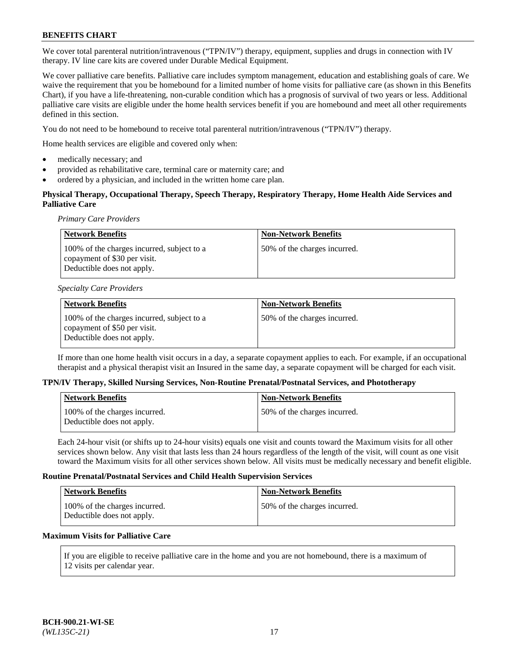We cover total parenteral nutrition/intravenous ("TPN/IV") therapy, equipment, supplies and drugs in connection with IV therapy. IV line care kits are covered under Durable Medical Equipment.

We cover palliative care benefits. Palliative care includes symptom management, education and establishing goals of care. We waive the requirement that you be homebound for a limited number of home visits for palliative care (as shown in this Benefits Chart), if you have a life-threatening, non-curable condition which has a prognosis of survival of two years or less. Additional palliative care visits are eligible under the home health services benefit if you are homebound and meet all other requirements defined in this section.

You do not need to be homebound to receive total parenteral nutrition/intravenous ("TPN/IV") therapy.

Home health services are eligible and covered only when:

- medically necessary; and
- provided as rehabilitative care, terminal care or maternity care; and
- ordered by a physician, and included in the written home care plan.

## **Physical Therapy, Occupational Therapy, Speech Therapy, Respiratory Therapy, Home Health Aide Services and Palliative Care**

*Primary Care Providers*

| <b>Network Benefits</b>                                                                                  | <b>Non-Network Benefits</b>  |
|----------------------------------------------------------------------------------------------------------|------------------------------|
| 100% of the charges incurred, subject to a<br>copayment of \$30 per visit.<br>Deductible does not apply. | 50% of the charges incurred. |

#### *Specialty Care Providers*

| Network Benefits                                                                                         | <b>Non-Network Benefits</b>  |
|----------------------------------------------------------------------------------------------------------|------------------------------|
| 100% of the charges incurred, subject to a<br>copayment of \$50 per visit.<br>Deductible does not apply. | 50% of the charges incurred. |

If more than one home health visit occurs in a day, a separate copayment applies to each. For example, if an occupational therapist and a physical therapist visit an Insured in the same day, a separate copayment will be charged for each visit.

#### **TPN/IV Therapy, Skilled Nursing Services, Non-Routine Prenatal/Postnatal Services, and Phototherapy**

| <b>Network Benefits</b>                                     | <b>Non-Network Benefits</b>  |
|-------------------------------------------------------------|------------------------------|
| 100% of the charges incurred.<br>Deductible does not apply. | 50% of the charges incurred. |

Each 24-hour visit (or shifts up to 24-hour visits) equals one visit and counts toward the Maximum visits for all other services shown below. Any visit that lasts less than 24 hours regardless of the length of the visit, will count as one visit toward the Maximum visits for all other services shown below. All visits must be medically necessary and benefit eligible.

### **Routine Prenatal/Postnatal Services and Child Health Supervision Services**

| <b>Network Benefits</b>                                     | <b>Non-Network Benefits</b>  |
|-------------------------------------------------------------|------------------------------|
| 100% of the charges incurred.<br>Deductible does not apply. | 50% of the charges incurred. |

## **Maximum Visits for Palliative Care**

If you are eligible to receive palliative care in the home and you are not homebound, there is a maximum of 12 visits per calendar year.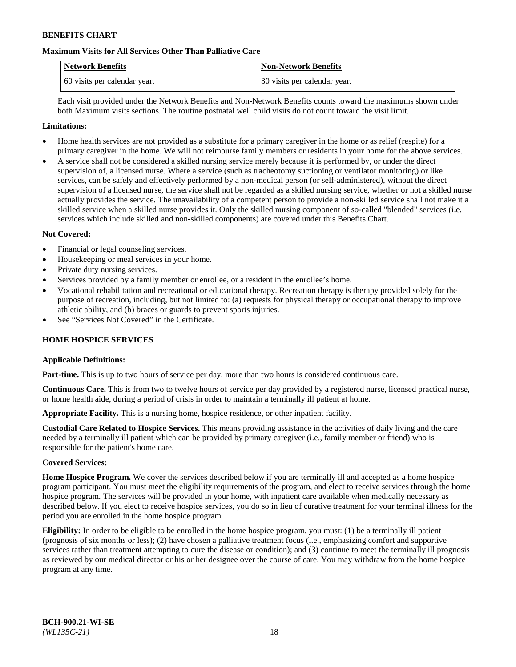## **Maximum Visits for All Services Other Than Palliative Care**

| <b>Network Benefits</b>      | <b>Non-Network Benefits</b>  |
|------------------------------|------------------------------|
| 60 visits per calendar year. | 30 visits per calendar year. |

Each visit provided under the Network Benefits and Non-Network Benefits counts toward the maximums shown under both Maximum visits sections. The routine postnatal well child visits do not count toward the visit limit.

#### **Limitations:**

- Home health services are not provided as a substitute for a primary caregiver in the home or as relief (respite) for a primary caregiver in the home. We will not reimburse family members or residents in your home for the above services.
- A service shall not be considered a skilled nursing service merely because it is performed by, or under the direct supervision of, a licensed nurse. Where a service (such as tracheotomy suctioning or ventilator monitoring) or like services, can be safely and effectively performed by a non-medical person (or self-administered), without the direct supervision of a licensed nurse, the service shall not be regarded as a skilled nursing service, whether or not a skilled nurse actually provides the service. The unavailability of a competent person to provide a non-skilled service shall not make it a skilled service when a skilled nurse provides it. Only the skilled nursing component of so-called "blended" services (i.e. services which include skilled and non-skilled components) are covered under this Benefits Chart.

#### **Not Covered:**

- Financial or legal counseling services.
- Housekeeping or meal services in your home.
- Private duty nursing services.
- Services provided by a family member or enrollee, or a resident in the enrollee's home.
- Vocational rehabilitation and recreational or educational therapy. Recreation therapy is therapy provided solely for the purpose of recreation, including, but not limited to: (a) requests for physical therapy or occupational therapy to improve athletic ability, and (b) braces or guards to prevent sports injuries.
- See "Services Not Covered" in the Certificate.

## **HOME HOSPICE SERVICES**

#### **Applicable Definitions:**

**Part-time.** This is up to two hours of service per day, more than two hours is considered continuous care.

**Continuous Care.** This is from two to twelve hours of service per day provided by a registered nurse, licensed practical nurse, or home health aide, during a period of crisis in order to maintain a terminally ill patient at home.

**Appropriate Facility.** This is a nursing home, hospice residence, or other inpatient facility.

**Custodial Care Related to Hospice Services.** This means providing assistance in the activities of daily living and the care needed by a terminally ill patient which can be provided by primary caregiver (i.e., family member or friend) who is responsible for the patient's home care.

#### **Covered Services:**

**Home Hospice Program.** We cover the services described below if you are terminally ill and accepted as a home hospice program participant. You must meet the eligibility requirements of the program, and elect to receive services through the home hospice program. The services will be provided in your home, with inpatient care available when medically necessary as described below. If you elect to receive hospice services, you do so in lieu of curative treatment for your terminal illness for the period you are enrolled in the home hospice program.

**Eligibility:** In order to be eligible to be enrolled in the home hospice program, you must: (1) be a terminally ill patient (prognosis of six months or less); (2) have chosen a palliative treatment focus (i.e., emphasizing comfort and supportive services rather than treatment attempting to cure the disease or condition); and (3) continue to meet the terminally ill prognosis as reviewed by our medical director or his or her designee over the course of care. You may withdraw from the home hospice program at any time.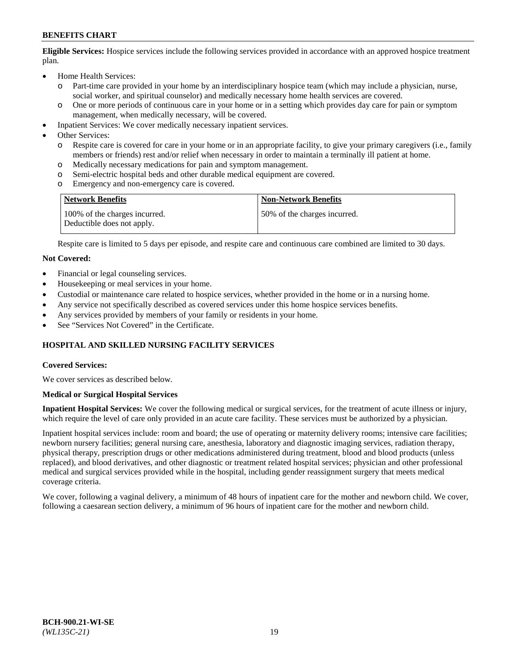**Eligible Services:** Hospice services include the following services provided in accordance with an approved hospice treatment plan.

- Home Health Services:
	- o Part-time care provided in your home by an interdisciplinary hospice team (which may include a physician, nurse, social worker, and spiritual counselor) and medically necessary home health services are covered.
	- o One or more periods of continuous care in your home or in a setting which provides day care for pain or symptom management, when medically necessary, will be covered.
- Inpatient Services: We cover medically necessary inpatient services.
- Other Services:
	- o Respite care is covered for care in your home or in an appropriate facility, to give your primary caregivers (i.e., family members or friends) rest and/or relief when necessary in order to maintain a terminally ill patient at home.
	- o Medically necessary medications for pain and symptom management.
	- Semi-electric hospital beds and other durable medical equipment are covered.
	- o Emergency and non-emergency care is covered.

| <b>Network Benefits</b>                                     | <b>Non-Network Benefits</b>  |
|-------------------------------------------------------------|------------------------------|
| 100% of the charges incurred.<br>Deductible does not apply. | 50% of the charges incurred. |

Respite care is limited to 5 days per episode, and respite care and continuous care combined are limited to 30 days.

### **Not Covered:**

- Financial or legal counseling services.
- Housekeeping or meal services in your home.
- Custodial or maintenance care related to hospice services, whether provided in the home or in a nursing home.
- Any service not specifically described as covered services under this home hospice services benefits.
- Any services provided by members of your family or residents in your home.
- See "Services Not Covered" in the Certificate.

## **HOSPITAL AND SKILLED NURSING FACILITY SERVICES**

#### **Covered Services:**

We cover services as described below.

#### **Medical or Surgical Hospital Services**

**Inpatient Hospital Services:** We cover the following medical or surgical services, for the treatment of acute illness or injury, which require the level of care only provided in an acute care facility. These services must be authorized by a physician.

Inpatient hospital services include: room and board; the use of operating or maternity delivery rooms; intensive care facilities; newborn nursery facilities; general nursing care, anesthesia, laboratory and diagnostic imaging services, radiation therapy, physical therapy, prescription drugs or other medications administered during treatment, blood and blood products (unless replaced), and blood derivatives, and other diagnostic or treatment related hospital services; physician and other professional medical and surgical services provided while in the hospital, including gender reassignment surgery that meets medical coverage criteria.

We cover, following a vaginal delivery, a minimum of 48 hours of inpatient care for the mother and newborn child. We cover, following a caesarean section delivery, a minimum of 96 hours of inpatient care for the mother and newborn child.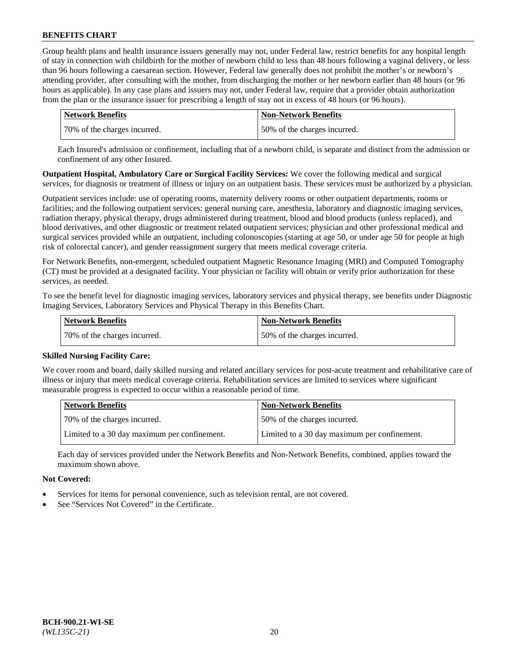Group health plans and health insurance issuers generally may not, under Federal law, restrict benefits for any hospital length of stay in connection with childbirth for the mother of newborn child to less than 48 hours following a vaginal delivery, or less than 96 hours following a caesarean section. However, Federal law generally does not prohibit the mother's or newborn's attending provider, after consulting with the mother, from discharging the mother or her newborn earlier than 48 hours (or 96 hours as applicable). In any case plans and issuers may not, under Federal law, require that a provider obtain authorization from the plan or the insurance issuer for prescribing a length of stay not in excess of 48 hours (or 96 hours).

| Network Benefits             | <b>Non-Network Benefits</b>  |
|------------------------------|------------------------------|
| 70% of the charges incurred. | 50% of the charges incurred. |

Each Insured's admission or confinement, including that of a newborn child, is separate and distinct from the admission or confinement of any other Insured.

**Outpatient Hospital, Ambulatory Care or Surgical Facility Services:** We cover the following medical and surgical services, for diagnosis or treatment of illness or injury on an outpatient basis. These services must be authorized by a physician.

Outpatient services include: use of operating rooms, maternity delivery rooms or other outpatient departments, rooms or facilities; and the following outpatient services: general nursing care, anesthesia, laboratory and diagnostic imaging services, radiation therapy, physical therapy, drugs administered during treatment, blood and blood products (unless replaced), and blood derivatives, and other diagnostic or treatment related outpatient services; physician and other professional medical and surgical services provided while an outpatient, including colonoscopies (starting at age 50, or under age 50 for people at high risk of colorectal cancer), and gender reassignment surgery that meets medical coverage criteria.

For Network Benefits, non-emergent, scheduled outpatient Magnetic Resonance Imaging (MRI) and Computed Tomography (CT) must be provided at a designated facility. Your physician or facility will obtain or verify prior authorization for these services, as needed.

To see the benefit level for diagnostic imaging services, laboratory services and physical therapy, see benefits under Diagnostic Imaging Services, Laboratory Services and Physical Therapy in this Benefits Chart.

| <b>Network Benefits</b>      | <b>Non-Network Benefits</b>  |
|------------------------------|------------------------------|
| 70% of the charges incurred. | 50% of the charges incurred. |

## **Skilled Nursing Facility Care:**

We cover room and board, daily skilled nursing and related ancillary services for post-acute treatment and rehabilitative care of illness or injury that meets medical coverage criteria. Rehabilitation services are limited to services where significant measurable progress is expected to occur within a reasonable period of time.

| <b>Network Benefits</b>                      | <b>Non-Network Benefits</b>                  |
|----------------------------------------------|----------------------------------------------|
| 70% of the charges incurred.                 | 150% of the charges incurred.                |
| Limited to a 30 day maximum per confinement. | Limited to a 30 day maximum per confinement. |

Each day of services provided under the Network Benefits and Non-Network Benefits, combined, applies toward the maximum shown above.

## **Not Covered:**

- Services for items for personal convenience, such as television rental, are not covered.
- See "Services Not Covered" in the Certificate.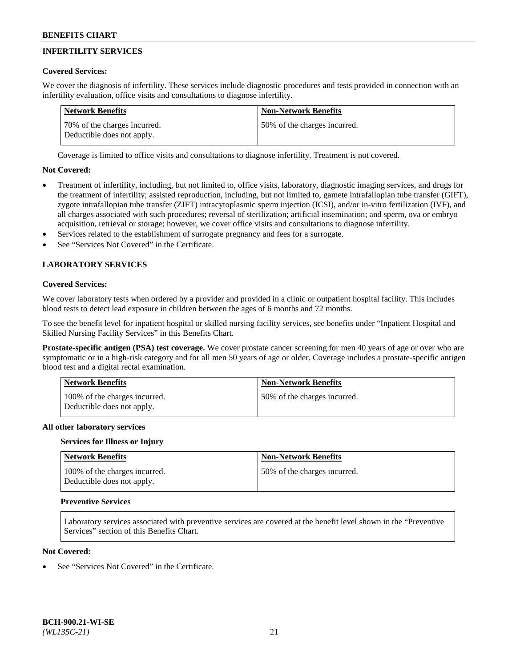# **INFERTILITY SERVICES**

## **Covered Services:**

We cover the diagnosis of infertility. These services include diagnostic procedures and tests provided in connection with an infertility evaluation, office visits and consultations to diagnose infertility.

| Network Benefits                                           | <b>Non-Network Benefits</b>  |
|------------------------------------------------------------|------------------------------|
| 70% of the charges incurred.<br>Deductible does not apply. | 50% of the charges incurred. |

Coverage is limited to office visits and consultations to diagnose infertility. Treatment is not covered.

## **Not Covered:**

- Treatment of infertility, including, but not limited to, office visits, laboratory, diagnostic imaging services, and drugs for the treatment of infertility; assisted reproduction, including, but not limited to, gamete intrafallopian tube transfer (GIFT), zygote intrafallopian tube transfer (ZIFT) intracytoplasmic sperm injection (ICSI), and/or in-vitro fertilization (IVF), and all charges associated with such procedures; reversal of sterilization; artificial insemination; and sperm, ova or embryo acquisition, retrieval or storage; however, we cover office visits and consultations to diagnose infertility.
- Services related to the establishment of surrogate pregnancy and fees for a surrogate.
- See "Services Not Covered" in the Certificate.

## **LABORATORY SERVICES**

### **Covered Services:**

We cover laboratory tests when ordered by a provider and provided in a clinic or outpatient hospital facility. This includes blood tests to detect lead exposure in children between the ages of 6 months and 72 months.

To see the benefit level for inpatient hospital or skilled nursing facility services, see benefits under "Inpatient Hospital and Skilled Nursing Facility Services" in this Benefits Chart.

**Prostate-specific antigen (PSA) test coverage.** We cover prostate cancer screening for men 40 years of age or over who are symptomatic or in a high-risk category and for all men 50 years of age or older. Coverage includes a prostate-specific antigen blood test and a digital rectal examination.

| <b>Network Benefits</b>                                     | <b>Non-Network Benefits</b>   |
|-------------------------------------------------------------|-------------------------------|
| 100% of the charges incurred.<br>Deductible does not apply. | 150% of the charges incurred. |

#### **All other laboratory services**

#### **Services for Illness or Injury**

| <b>Network Benefits</b>                                     | <b>Non-Network Benefits</b>  |
|-------------------------------------------------------------|------------------------------|
| 100% of the charges incurred.<br>Deductible does not apply. | 50% of the charges incurred. |

#### **Preventive Services**

Laboratory services associated with preventive services are covered at the benefit level shown in the "Preventive Services" section of this Benefits Chart.

## **Not Covered:**

See "Services Not Covered" in the Certificate.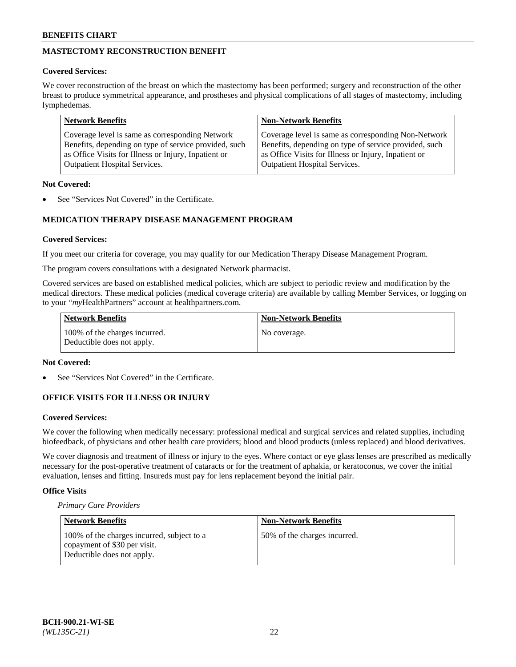# **MASTECTOMY RECONSTRUCTION BENEFIT**

## **Covered Services:**

We cover reconstruction of the breast on which the mastectomy has been performed; surgery and reconstruction of the other breast to produce symmetrical appearance, and prostheses and physical complications of all stages of mastectomy, including lymphedemas.

| <b>Network Benefits</b>                               | <b>Non-Network Benefits</b>                           |
|-------------------------------------------------------|-------------------------------------------------------|
| Coverage level is same as corresponding Network       | Coverage level is same as corresponding Non-Network   |
| Benefits, depending on type of service provided, such | Benefits, depending on type of service provided, such |
| as Office Visits for Illness or Injury, Inpatient or  | as Office Visits for Illness or Injury, Inpatient or  |
| <b>Outpatient Hospital Services.</b>                  | <b>Outpatient Hospital Services.</b>                  |

## **Not Covered:**

See "Services Not Covered" in the Certificate.

# **MEDICATION THERAPY DISEASE MANAGEMENT PROGRAM**

## **Covered Services:**

If you meet our criteria for coverage, you may qualify for our Medication Therapy Disease Management Program.

The program covers consultations with a designated Network pharmacist.

Covered services are based on established medical policies, which are subject to periodic review and modification by the medical directors. These medical policies (medical coverage criteria) are available by calling Member Services, or logging on to your "*my*HealthPartners" account at [healthpartners.com.](http://www.healthpartners.com/)

| Network Benefits                                            | <b>Non-Network Benefits</b> |
|-------------------------------------------------------------|-----------------------------|
| 100% of the charges incurred.<br>Deductible does not apply. | No coverage.                |

### **Not Covered:**

See "Services Not Covered" in the Certificate.

## **OFFICE VISITS FOR ILLNESS OR INJURY**

#### **Covered Services:**

We cover the following when medically necessary: professional medical and surgical services and related supplies, including biofeedback, of physicians and other health care providers; blood and blood products (unless replaced) and blood derivatives.

We cover diagnosis and treatment of illness or injury to the eyes. Where contact or eye glass lenses are prescribed as medically necessary for the post-operative treatment of cataracts or for the treatment of aphakia, or keratoconus, we cover the initial evaluation, lenses and fitting. Insureds must pay for lens replacement beyond the initial pair.

## **Office Visits**

*Primary Care Providers*

| Network Benefits                                                                                         | <b>Non-Network Benefits</b>  |
|----------------------------------------------------------------------------------------------------------|------------------------------|
| 100% of the charges incurred, subject to a<br>copayment of \$30 per visit.<br>Deductible does not apply. | 50% of the charges incurred. |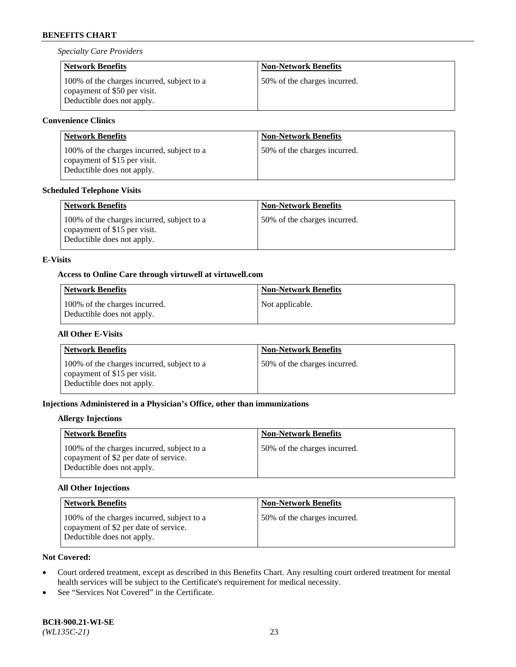*Specialty Care Providers*

| <b>Network Benefits</b>                                                                                  | <b>Non-Network Benefits</b>  |
|----------------------------------------------------------------------------------------------------------|------------------------------|
| 100% of the charges incurred, subject to a<br>copayment of \$50 per visit.<br>Deductible does not apply. | 50% of the charges incurred. |

## **Convenience Clinics**

| <b>Network Benefits</b>                                                                                  | <b>Non-Network Benefits</b>  |
|----------------------------------------------------------------------------------------------------------|------------------------------|
| 100% of the charges incurred, subject to a<br>copayment of \$15 per visit.<br>Deductible does not apply. | 50% of the charges incurred. |

## **Scheduled Telephone Visits**

| <b>Network Benefits</b>                                                                                  | <b>Non-Network Benefits</b>  |
|----------------------------------------------------------------------------------------------------------|------------------------------|
| 100% of the charges incurred, subject to a<br>copayment of \$15 per visit.<br>Deductible does not apply. | 50% of the charges incurred. |

## **E-Visits**

## **Access to Online Care through virtuwell a[t virtuwell.com](https://www.virtuwell.com/)**

| <b>Network Benefits</b>                                     | Non-Network Benefits |
|-------------------------------------------------------------|----------------------|
| 100% of the charges incurred.<br>Deductible does not apply. | Not applicable.      |

## **All Other E-Visits**

| <b>Network Benefits</b>                                                                                  | <b>Non-Network Benefits</b>  |
|----------------------------------------------------------------------------------------------------------|------------------------------|
| 100% of the charges incurred, subject to a<br>copayment of \$15 per visit.<br>Deductible does not apply. | 50% of the charges incurred. |

## **Injections Administered in a Physician's Office, other than immunizations**

## **Allergy Injections**

| <b>Network Benefits</b>                                                                                           | <b>Non-Network Benefits</b>  |
|-------------------------------------------------------------------------------------------------------------------|------------------------------|
| 100% of the charges incurred, subject to a<br>copayment of \$2 per date of service.<br>Deductible does not apply. | 50% of the charges incurred. |

## **All Other Injections**

| <b>Network Benefits</b>                                                                                           | <b>Non-Network Benefits</b>  |
|-------------------------------------------------------------------------------------------------------------------|------------------------------|
| 100% of the charges incurred, subject to a<br>copayment of \$2 per date of service.<br>Deductible does not apply. | 50% of the charges incurred. |

## **Not Covered:**

- Court ordered treatment, except as described in this Benefits Chart. Any resulting court ordered treatment for mental health services will be subject to the Certificate's requirement for medical necessity.
- See "Services Not Covered" in the Certificate.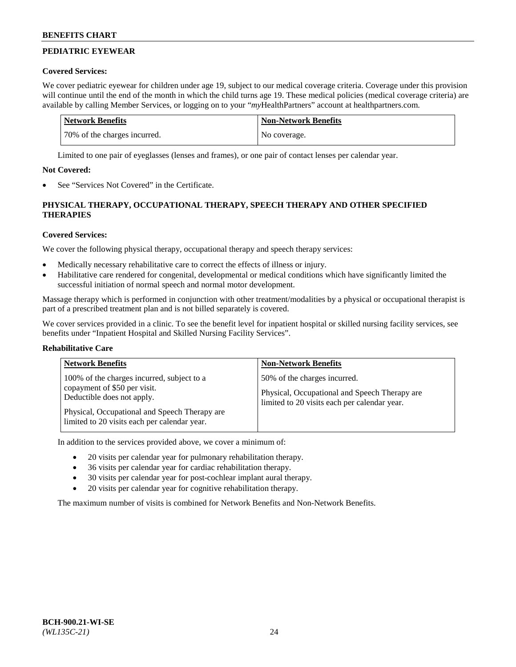# **PEDIATRIC EYEWEAR**

## **Covered Services:**

We cover pediatric eyewear for children under age 19, subject to our medical coverage criteria. Coverage under this provision will continue until the end of the month in which the child turns age 19. These medical policies (medical coverage criteria) are available by calling Member Services, or logging on to your "*my*HealthPartners" account a[t healthpartners.com.](https://www.healthpartners.com/hp/index.html)

| Network Benefits             | <b>Non-Network Benefits</b> |
|------------------------------|-----------------------------|
| 70% of the charges incurred. | No coverage.                |

Limited to one pair of eyeglasses (lenses and frames), or one pair of contact lenses per calendar year.

## **Not Covered:**

See "Services Not Covered" in the Certificate.

## **PHYSICAL THERAPY, OCCUPATIONAL THERAPY, SPEECH THERAPY AND OTHER SPECIFIED THERAPIES**

## **Covered Services:**

We cover the following physical therapy, occupational therapy and speech therapy services:

- Medically necessary rehabilitative care to correct the effects of illness or injury.
- Habilitative care rendered for congenital, developmental or medical conditions which have significantly limited the successful initiation of normal speech and normal motor development.

Massage therapy which is performed in conjunction with other treatment/modalities by a physical or occupational therapist is part of a prescribed treatment plan and is not billed separately is covered.

We cover services provided in a clinic. To see the benefit level for inpatient hospital or skilled nursing facility services, see benefits under "Inpatient Hospital and Skilled Nursing Facility Services".

## **Rehabilitative Care**

| <b>Network Benefits</b>                                                                                                                                                                                   | <b>Non-Network Benefits</b>                                                                                                   |
|-----------------------------------------------------------------------------------------------------------------------------------------------------------------------------------------------------------|-------------------------------------------------------------------------------------------------------------------------------|
| 100% of the charges incurred, subject to a<br>copayment of \$50 per visit.<br>Deductible does not apply.<br>Physical, Occupational and Speech Therapy are<br>limited to 20 visits each per calendar year. | 50% of the charges incurred.<br>Physical, Occupational and Speech Therapy are<br>limited to 20 visits each per calendar year. |

In addition to the services provided above, we cover a minimum of:

- 20 visits per calendar year for pulmonary rehabilitation therapy.
- 36 visits per calendar year for cardiac rehabilitation therapy.
- 30 visits per calendar year for post-cochlear implant aural therapy.
- 20 visits per calendar year for cognitive rehabilitation therapy.

The maximum number of visits is combined for Network Benefits and Non-Network Benefits.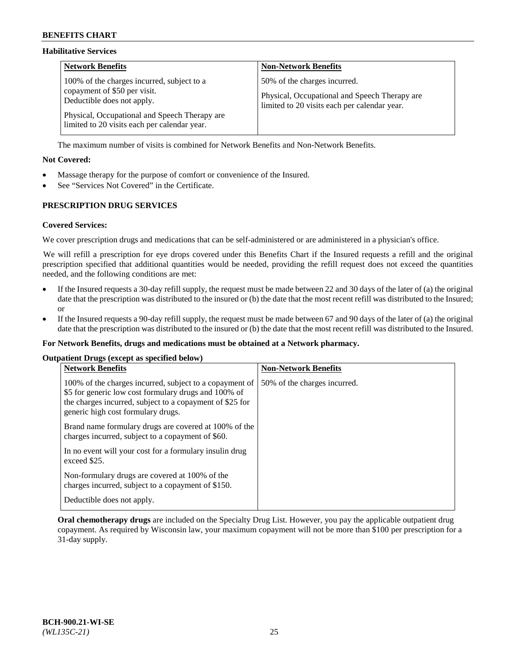### **Habilitative Services**

| <b>Network Benefits</b>                                                                                                                                                                                   | <b>Non-Network Benefits</b>                                                                                                   |
|-----------------------------------------------------------------------------------------------------------------------------------------------------------------------------------------------------------|-------------------------------------------------------------------------------------------------------------------------------|
| 100% of the charges incurred, subject to a<br>copayment of \$50 per visit.<br>Deductible does not apply.<br>Physical, Occupational and Speech Therapy are<br>limited to 20 visits each per calendar year. | 50% of the charges incurred.<br>Physical, Occupational and Speech Therapy are<br>limited to 20 visits each per calendar year. |

The maximum number of visits is combined for Network Benefits and Non-Network Benefits.

### **Not Covered:**

- Massage therapy for the purpose of comfort or convenience of the Insured.
- See "Services Not Covered" in the Certificate.

## **PRESCRIPTION DRUG SERVICES**

### **Covered Services:**

We cover prescription drugs and medications that can be self-administered or are administered in a physician's office.

We will refill a prescription for eye drops covered under this Benefits Chart if the Insured requests a refill and the original prescription specified that additional quantities would be needed, providing the refill request does not exceed the quantities needed, and the following conditions are met:

- If the Insured requests a 30-day refill supply, the request must be made between 22 and 30 days of the later of (a) the original date that the prescription was distributed to the insured or (b) the date that the most recent refill was distributed to the Insured; or
- If the Insured requests a 90-day refill supply, the request must be made between 67 and 90 days of the later of (a) the original date that the prescription was distributed to the insured or (b) the date that the most recent refill was distributed to the Insured.

#### **For Network Benefits, drugs and medications must be obtained at a Network pharmacy.**

#### **Outpatient Drugs (except as specified below)**

| <b>Network Benefits</b>                                                                                                                                                                                           | <b>Non-Network Benefits</b>  |
|-------------------------------------------------------------------------------------------------------------------------------------------------------------------------------------------------------------------|------------------------------|
| 100% of the charges incurred, subject to a copayment of<br>\$5 for generic low cost formulary drugs and 100% of<br>the charges incurred, subject to a copayment of \$25 for<br>generic high cost formulary drugs. | 50% of the charges incurred. |
| Brand name formulary drugs are covered at 100% of the<br>charges incurred, subject to a copayment of \$60.                                                                                                        |                              |
| In no event will your cost for a formulary insulin drug<br>exceed \$25.                                                                                                                                           |                              |
| Non-formulary drugs are covered at 100% of the<br>charges incurred, subject to a copayment of \$150.                                                                                                              |                              |
| Deductible does not apply.                                                                                                                                                                                        |                              |

**Oral chemotherapy drugs** are included on the Specialty Drug List. However, you pay the applicable outpatient drug copayment. As required by Wisconsin law, your maximum copayment will not be more than \$100 per prescription for a 31-day supply.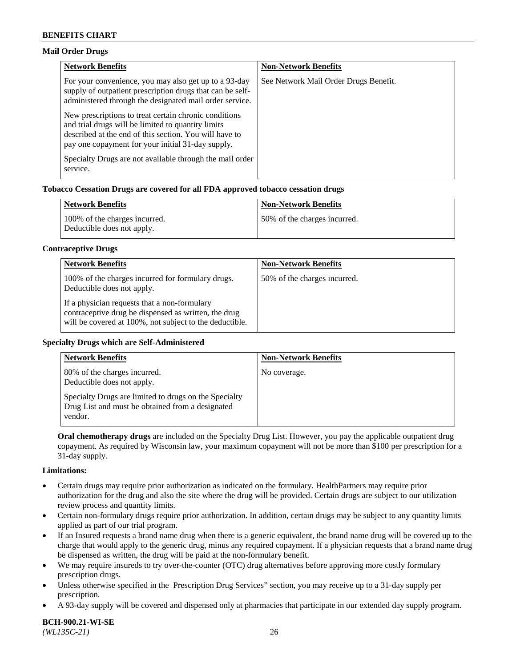### **Mail Order Drugs**

| <b>Network Benefits</b>                                                                                                                                                                                                    | <b>Non-Network Benefits</b>           |
|----------------------------------------------------------------------------------------------------------------------------------------------------------------------------------------------------------------------------|---------------------------------------|
| For your convenience, you may also get up to a 93-day<br>supply of outpatient prescription drugs that can be self-<br>administered through the designated mail order service.                                              | See Network Mail Order Drugs Benefit. |
| New prescriptions to treat certain chronic conditions<br>and trial drugs will be limited to quantity limits<br>described at the end of this section. You will have to<br>pay one copayment for your initial 31-day supply. |                                       |
| Specialty Drugs are not available through the mail order<br>service.                                                                                                                                                       |                                       |

## **Tobacco Cessation Drugs are covered for all FDA approved tobacco cessation drugs**

| <b>Network Benefits</b>                                     | <b>Non-Network Benefits</b>  |
|-------------------------------------------------------------|------------------------------|
| 100% of the charges incurred.<br>Deductible does not apply. | 50% of the charges incurred. |

#### **Contraceptive Drugs**

| <b>Network Benefits</b>                                                                                                                                         | <b>Non-Network Benefits</b>  |
|-----------------------------------------------------------------------------------------------------------------------------------------------------------------|------------------------------|
| 100% of the charges incurred for formulary drugs.<br>Deductible does not apply.                                                                                 | 50% of the charges incurred. |
| If a physician requests that a non-formulary<br>contraceptive drug be dispensed as written, the drug<br>will be covered at 100%, not subject to the deductible. |                              |

#### **Specialty Drugs which are Self-Administered**

| <b>Network Benefits</b>                                                                                              | <b>Non-Network Benefits</b> |
|----------------------------------------------------------------------------------------------------------------------|-----------------------------|
| 80% of the charges incurred.<br>Deductible does not apply.                                                           | No coverage.                |
| Specialty Drugs are limited to drugs on the Specialty<br>Drug List and must be obtained from a designated<br>vendor. |                             |

**Oral chemotherapy drugs** are included on the Specialty Drug List. However, you pay the applicable outpatient drug copayment. As required by Wisconsin law, your maximum copayment will not be more than \$100 per prescription for a 31-day supply.

#### **Limitations:**

- Certain drugs may require prior authorization as indicated on the formulary. HealthPartners may require prior authorization for the drug and also the site where the drug will be provided. Certain drugs are subject to our utilization review process and quantity limits.
- Certain non-formulary drugs require prior authorization. In addition, certain drugs may be subject to any quantity limits applied as part of our trial program.
- If an Insured requests a brand name drug when there is a generic equivalent, the brand name drug will be covered up to the charge that would apply to the generic drug, minus any required copayment. If a physician requests that a brand name drug be dispensed as written, the drug will be paid at the non-formulary benefit.
- We may require insureds to try over-the-counter (OTC) drug alternatives before approving more costly formulary prescription drugs.
- Unless otherwise specified in the Prescription Drug Services" section, you may receive up to a 31-day supply per prescription.
- A 93-day supply will be covered and dispensed only at pharmacies that participate in our extended day supply program.

**BCH-900.21-WI-SE**  *(WL135C-21)* 26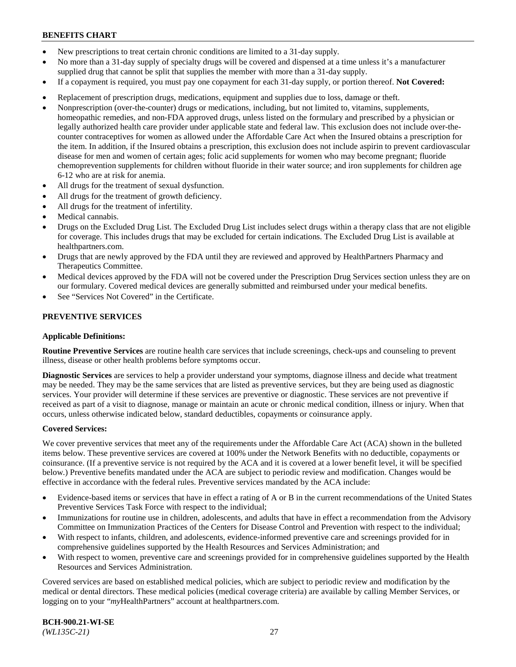- New prescriptions to treat certain chronic conditions are limited to a 31-day supply.
- No more than a 31-day supply of specialty drugs will be covered and dispensed at a time unless it's a manufacturer supplied drug that cannot be split that supplies the member with more than a 31-day supply.
- If a copayment is required, you must pay one copayment for each 31-day supply, or portion thereof. **Not Covered:**
- Replacement of prescription drugs, medications, equipment and supplies due to loss, damage or theft.
- Nonprescription (over-the-counter) drugs or medications, including, but not limited to, vitamins, supplements, homeopathic remedies, and non-FDA approved drugs, unless listed on the formulary and prescribed by a physician or legally authorized health care provider under applicable state and federal law. This exclusion does not include over-thecounter contraceptives for women as allowed under the Affordable Care Act when the Insured obtains a prescription for the item. In addition, if the Insured obtains a prescription, this exclusion does not include aspirin to prevent cardiovascular disease for men and women of certain ages; folic acid supplements for women who may become pregnant; fluoride chemoprevention supplements for children without fluoride in their water source; and iron supplements for children age 6-12 who are at risk for anemia.
- All drugs for the treatment of sexual dysfunction.
- All drugs for the treatment of growth deficiency.
- All drugs for the treatment of infertility.
- Medical cannabis.
- Drugs on the Excluded Drug List. The Excluded Drug List includes select drugs within a therapy class that are not eligible for coverage. This includes drugs that may be excluded for certain indications. The Excluded Drug List is available at [healthpartners.com.](http://www.healthpartners.com/)
- Drugs that are newly approved by the FDA until they are reviewed and approved by HealthPartners Pharmacy and Therapeutics Committee.
- Medical devices approved by the FDA will not be covered under the Prescription Drug Services section unless they are on our formulary. Covered medical devices are generally submitted and reimbursed under your medical benefits.
- See "Services Not Covered" in the Certificate.

## **PREVENTIVE SERVICES**

#### **Applicable Definitions:**

**Routine Preventive Services** are routine health care services that include screenings, check-ups and counseling to prevent illness, disease or other health problems before symptoms occur.

**Diagnostic Services** are services to help a provider understand your symptoms, diagnose illness and decide what treatment may be needed. They may be the same services that are listed as preventive services, but they are being used as diagnostic services. Your provider will determine if these services are preventive or diagnostic. These services are not preventive if received as part of a visit to diagnose, manage or maintain an acute or chronic medical condition, illness or injury. When that occurs, unless otherwise indicated below, standard deductibles, copayments or coinsurance apply.

#### **Covered Services:**

We cover preventive services that meet any of the requirements under the Affordable Care Act (ACA) shown in the bulleted items below. These preventive services are covered at 100% under the Network Benefits with no deductible, copayments or coinsurance. (If a preventive service is not required by the ACA and it is covered at a lower benefit level, it will be specified below.) Preventive benefits mandated under the ACA are subject to periodic review and modification. Changes would be effective in accordance with the federal rules. Preventive services mandated by the ACA include:

- Evidence-based items or services that have in effect a rating of A or B in the current recommendations of the United States Preventive Services Task Force with respect to the individual;
- Immunizations for routine use in children, adolescents, and adults that have in effect a recommendation from the Advisory Committee on Immunization Practices of the Centers for Disease Control and Prevention with respect to the individual;
- With respect to infants, children, and adolescents, evidence-informed preventive care and screenings provided for in comprehensive guidelines supported by the Health Resources and Services Administration; and
- With respect to women, preventive care and screenings provided for in comprehensive guidelines supported by the Health Resources and Services Administration.

Covered services are based on established medical policies, which are subject to periodic review and modification by the medical or dental directors. These medical policies (medical coverage criteria) are available by calling Member Services, or logging on to your "*my*HealthPartners" account at [healthpartners.com.](https://www.healthpartners.com/hp/index.html)

**BCH-900.21-WI-SE**  *(WL135C-21)* 27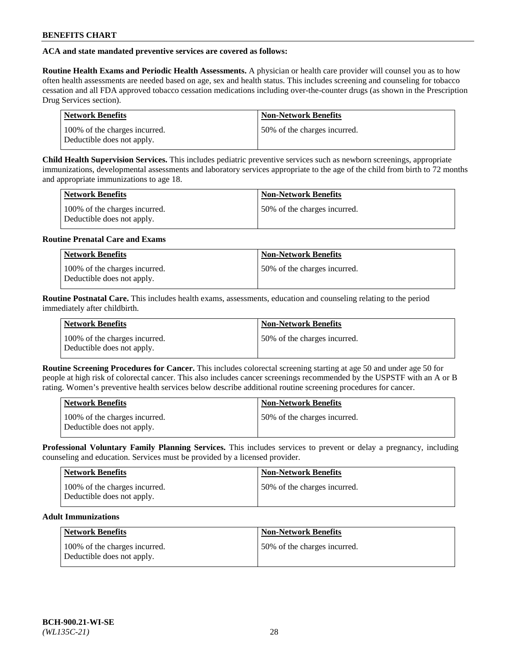## **ACA and state mandated preventive services are covered as follows:**

**Routine Health Exams and Periodic Health Assessments.** A physician or health care provider will counsel you as to how often health assessments are needed based on age, sex and health status. This includes screening and counseling for tobacco cessation and all FDA approved tobacco cessation medications including over-the-counter drugs (as shown in the Prescription Drug Services section).

| Network Benefits                                            | <b>Non-Network Benefits</b>   |
|-------------------------------------------------------------|-------------------------------|
| 100% of the charges incurred.<br>Deductible does not apply. | 150% of the charges incurred. |

**Child Health Supervision Services.** This includes pediatric preventive services such as newborn screenings, appropriate immunizations, developmental assessments and laboratory services appropriate to the age of the child from birth to 72 months and appropriate immunizations to age 18.

| <b>Network Benefits</b>                                     | <b>Non-Network Benefits</b>  |
|-------------------------------------------------------------|------------------------------|
| 100% of the charges incurred.<br>Deductible does not apply. | 50% of the charges incurred. |

### **Routine Prenatal Care and Exams**

| <b>Network Benefits</b>                                     | <b>Non-Network Benefits</b>   |
|-------------------------------------------------------------|-------------------------------|
| 100% of the charges incurred.<br>Deductible does not apply. | 150% of the charges incurred. |

**Routine Postnatal Care.** This includes health exams, assessments, education and counseling relating to the period immediately after childbirth.

| <b>Network Benefits</b>                                     | <b>Non-Network Benefits</b>  |
|-------------------------------------------------------------|------------------------------|
| 100% of the charges incurred.<br>Deductible does not apply. | 50% of the charges incurred. |

**Routine Screening Procedures for Cancer.** This includes colorectal screening starting at age 50 and under age 50 for people at high risk of colorectal cancer. This also includes cancer screenings recommended by the USPSTF with an A or B rating. Women's preventive health services below describe additional routine screening procedures for cancer.

| Network Benefits                                            | <b>Non-Network Benefits</b>  |
|-------------------------------------------------------------|------------------------------|
| 100% of the charges incurred.<br>Deductible does not apply. | 50% of the charges incurred. |

**Professional Voluntary Family Planning Services.** This includes services to prevent or delay a pregnancy, including counseling and education. Services must be provided by a licensed provider.

| Network Benefits                                            | <b>Non-Network Benefits</b>  |
|-------------------------------------------------------------|------------------------------|
| 100% of the charges incurred.<br>Deductible does not apply. | 50% of the charges incurred. |

### **Adult Immunizations**

| <b>Network Benefits</b>                                     | Non-Network Benefits         |
|-------------------------------------------------------------|------------------------------|
| 100% of the charges incurred.<br>Deductible does not apply. | 50% of the charges incurred. |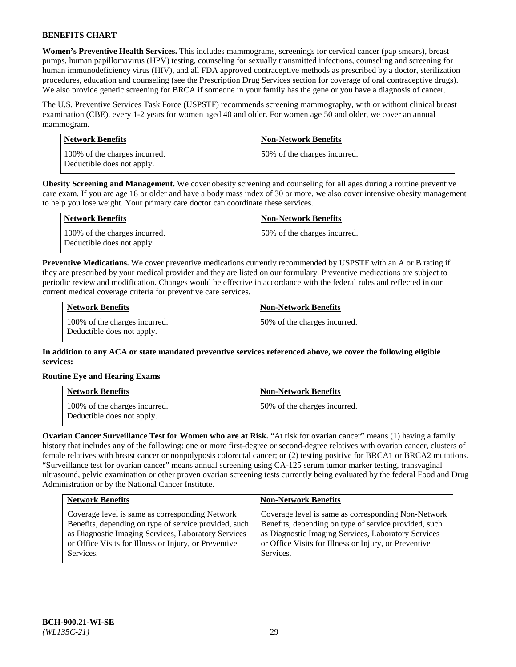**Women's Preventive Health Services.** This includes mammograms, screenings for cervical cancer (pap smears), breast pumps, human papillomavirus (HPV) testing, counseling for sexually transmitted infections, counseling and screening for human immunodeficiency virus (HIV), and all FDA approved contraceptive methods as prescribed by a doctor, sterilization procedures, education and counseling (see the Prescription Drug Services section for coverage of oral contraceptive drugs). We also provide genetic screening for BRCA if someone in your family has the gene or you have a diagnosis of cancer.

The U.S. Preventive Services Task Force (USPSTF) recommends screening mammography, with or without clinical breast examination (CBE), every 1-2 years for women aged 40 and older. For women age 50 and older, we cover an annual mammogram.

| Network Benefits                                            | <b>Non-Network Benefits</b>  |
|-------------------------------------------------------------|------------------------------|
| 100% of the charges incurred.<br>Deductible does not apply. | 50% of the charges incurred. |

**Obesity Screening and Management.** We cover obesity screening and counseling for all ages during a routine preventive care exam. If you are age 18 or older and have a body mass index of 30 or more, we also cover intensive obesity management to help you lose weight. Your primary care doctor can coordinate these services.

| Network Benefits                                            | <b>Non-Network Benefits</b>  |
|-------------------------------------------------------------|------------------------------|
| 100% of the charges incurred.<br>Deductible does not apply. | 50% of the charges incurred. |

**Preventive Medications.** We cover preventive medications currently recommended by USPSTF with an A or B rating if they are prescribed by your medical provider and they are listed on our formulary. Preventive medications are subject to periodic review and modification. Changes would be effective in accordance with the federal rules and reflected in our current medical coverage criteria for preventive care services.

| <b>Network Benefits</b>                                     | <b>Non-Network Benefits</b>  |
|-------------------------------------------------------------|------------------------------|
| 100% of the charges incurred.<br>Deductible does not apply. | 50% of the charges incurred. |

**In addition to any ACA or state mandated preventive services referenced above, we cover the following eligible services:**

## **Routine Eye and Hearing Exams**

| <b>Network Benefits</b>                                     | <b>Non-Network Benefits</b>  |
|-------------------------------------------------------------|------------------------------|
| 100% of the charges incurred.<br>Deductible does not apply. | 50% of the charges incurred. |

**Ovarian Cancer Surveillance Test for Women who are at Risk.** "At risk for ovarian cancer" means (1) having a family history that includes any of the following: one or more first-degree or second-degree relatives with ovarian cancer, clusters of female relatives with breast cancer or nonpolyposis colorectal cancer; or (2) testing positive for BRCA1 or BRCA2 mutations. "Surveillance test for ovarian cancer" means annual screening using CA-125 serum tumor marker testing, transvaginal ultrasound, pelvic examination or other proven ovarian screening tests currently being evaluated by the federal Food and Drug Administration or by the National Cancer Institute.

| <b>Network Benefits</b>                               | <b>Non-Network Benefits</b>                           |
|-------------------------------------------------------|-------------------------------------------------------|
| Coverage level is same as corresponding Network       | Coverage level is same as corresponding Non-Network   |
| Benefits, depending on type of service provided, such | Benefits, depending on type of service provided, such |
| as Diagnostic Imaging Services, Laboratory Services   | as Diagnostic Imaging Services, Laboratory Services   |
| or Office Visits for Illness or Injury, or Preventive | or Office Visits for Illness or Injury, or Preventive |
| Services.                                             | Services.                                             |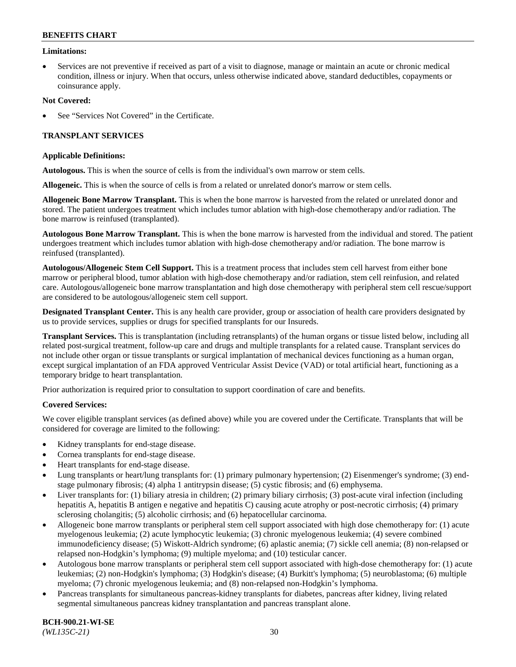### **Limitations:**

• Services are not preventive if received as part of a visit to diagnose, manage or maintain an acute or chronic medical condition, illness or injury. When that occurs, unless otherwise indicated above, standard deductibles, copayments or coinsurance apply.

### **Not Covered:**

See "Services Not Covered" in the Certificate.

## **TRANSPLANT SERVICES**

### **Applicable Definitions:**

**Autologous.** This is when the source of cells is from the individual's own marrow or stem cells.

**Allogeneic.** This is when the source of cells is from a related or unrelated donor's marrow or stem cells.

**Allogeneic Bone Marrow Transplant.** This is when the bone marrow is harvested from the related or unrelated donor and stored. The patient undergoes treatment which includes tumor ablation with high-dose chemotherapy and/or radiation. The bone marrow is reinfused (transplanted).

**Autologous Bone Marrow Transplant.** This is when the bone marrow is harvested from the individual and stored. The patient undergoes treatment which includes tumor ablation with high-dose chemotherapy and/or radiation. The bone marrow is reinfused (transplanted).

**Autologous/Allogeneic Stem Cell Support.** This is a treatment process that includes stem cell harvest from either bone marrow or peripheral blood, tumor ablation with high-dose chemotherapy and/or radiation, stem cell reinfusion, and related care. Autologous/allogeneic bone marrow transplantation and high dose chemotherapy with peripheral stem cell rescue/support are considered to be autologous/allogeneic stem cell support.

**Designated Transplant Center.** This is any health care provider, group or association of health care providers designated by us to provide services, supplies or drugs for specified transplants for our Insureds.

**Transplant Services.** This is transplantation (including retransplants) of the human organs or tissue listed below, including all related post-surgical treatment, follow-up care and drugs and multiple transplants for a related cause. Transplant services do not include other organ or tissue transplants or surgical implantation of mechanical devices functioning as a human organ, except surgical implantation of an FDA approved Ventricular Assist Device (VAD) or total artificial heart, functioning as a temporary bridge to heart transplantation.

Prior authorization is required prior to consultation to support coordination of care and benefits.

## **Covered Services:**

We cover eligible transplant services (as defined above) while you are covered under the Certificate. Transplants that will be considered for coverage are limited to the following:

- Kidney transplants for end-stage disease.
- Cornea transplants for end-stage disease.
- Heart transplants for end-stage disease.
- Lung transplants or heart/lung transplants for: (1) primary pulmonary hypertension; (2) Eisenmenger's syndrome; (3) endstage pulmonary fibrosis; (4) alpha 1 antitrypsin disease; (5) cystic fibrosis; and (6) emphysema.
- Liver transplants for: (1) biliary atresia in children; (2) primary biliary cirrhosis; (3) post-acute viral infection (including hepatitis A, hepatitis B antigen e negative and hepatitis C) causing acute atrophy or post-necrotic cirrhosis; (4) primary sclerosing cholangitis; (5) alcoholic cirrhosis; and (6) hepatocellular carcinoma.
- Allogeneic bone marrow transplants or peripheral stem cell support associated with high dose chemotherapy for: (1) acute myelogenous leukemia; (2) acute lymphocytic leukemia; (3) chronic myelogenous leukemia; (4) severe combined immunodeficiency disease; (5) Wiskott-Aldrich syndrome; (6) aplastic anemia; (7) sickle cell anemia; (8) non-relapsed or relapsed non-Hodgkin's lymphoma; (9) multiple myeloma; and (10) testicular cancer.
- Autologous bone marrow transplants or peripheral stem cell support associated with high-dose chemotherapy for: (1) acute leukemias; (2) non-Hodgkin's lymphoma; (3) Hodgkin's disease; (4) Burkitt's lymphoma; (5) neuroblastoma; (6) multiple myeloma; (7) chronic myelogenous leukemia; and (8) non-relapsed non-Hodgkin's lymphoma.
- Pancreas transplants for simultaneous pancreas-kidney transplants for diabetes, pancreas after kidney, living related segmental simultaneous pancreas kidney transplantation and pancreas transplant alone.